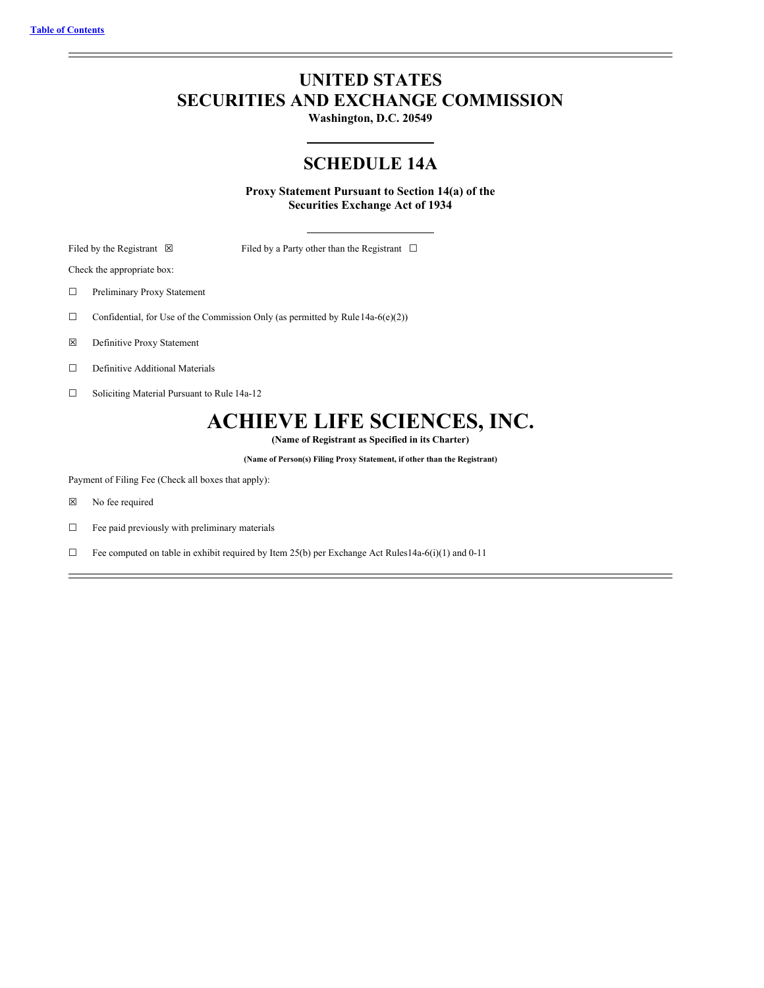# **UNITED STATES SECURITIES AND EXCHANGE COMMISSION**

**Washington, D.C. 20549**

# **SCHEDULE 14A**

**Proxy Statement Pursuant to Section 14(a) of the Securities Exchange Act of 1934**

Filed by the Registrant ⊠ Filed by a Party other than the Registrant □

Check the appropriate box:

☐ Preliminary Proxy Statement

 $\Box$  Confidential, for Use of the Commission Only (as permitted by Rule 14a-6(e)(2))

☒ Definitive Proxy Statement

☐ Definitive Additional Materials

☐ Soliciting Material Pursuant to Rule 14a-12

# **ACHIEVE LIFE SCIENCES, INC.**

**(Name of Registrant as Specified in its Charter)**

**(Name of Person(s) Filing Proxy Statement, if other than the Registrant)**

Payment of Filing Fee (Check all boxes that apply):

☒ No fee required

 $\hfill\Box\quad$  Fee paid previously with preliminary materials

 $\Box$  Fee computed on table in exhibit required by Item 25(b) per Exchange Act Rules14a-6(i)(1) and 0-11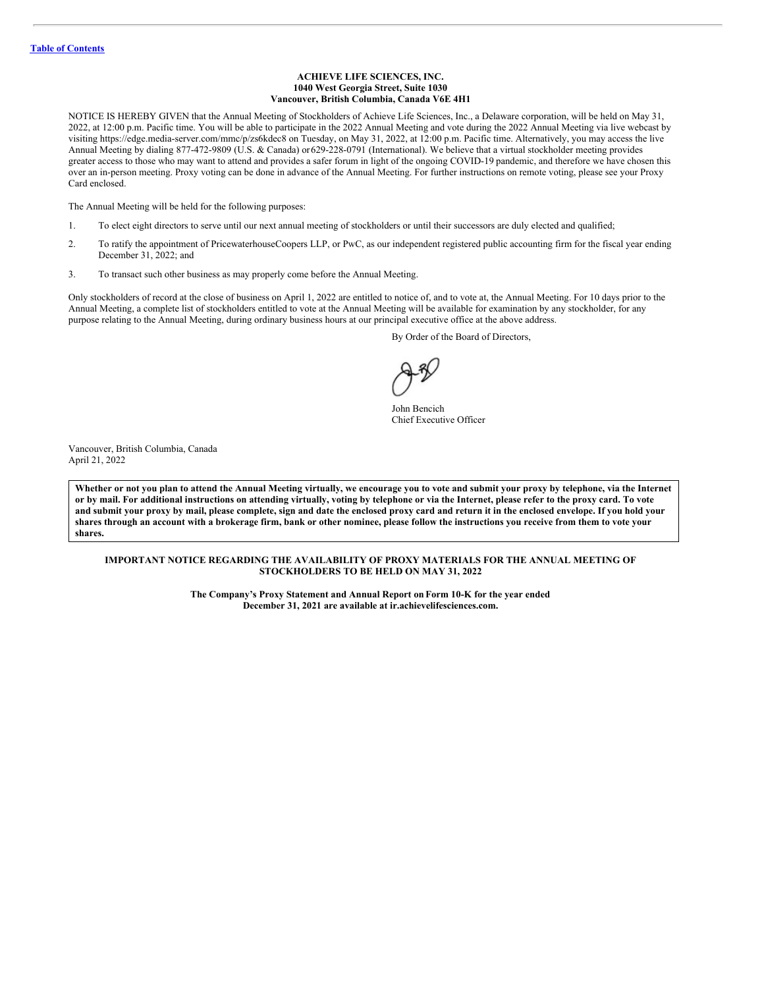## **ACHIEVE LIFE SCIENCES, INC. 1040 West Georgia Street, Suite 1030 Vancouver, British Columbia, Canada V6E 4H1**

NOTICE IS HEREBY GIVEN that the Annual Meeting of Stockholders of Achieve Life Sciences, Inc., a Delaware corporation, will be held on May 31, 2022, at 12:00 p.m. Pacific time. You will be able to participate in the 2022 Annual Meeting and vote during the 2022 Annual Meeting via live webcast by visiting https://edge.media-server.com/mmc/p/zs6kdec8 on Tuesday, on May 31, 2022, at 12:00 p.m. Pacific time. Alternatively, you may access the live Annual Meeting by dialing 877-472-9809 (U.S. & Canada) or629-228-0791 (International). We believe that a virtual stockholder meeting provides greater access to those who may want to attend and provides a safer forum in light of the ongoing COVID-19 pandemic, and therefore we have chosen this over an in-person meeting. Proxy voting can be done in advance of the Annual Meeting. For further instructions on remote voting, please see your Proxy Card enclosed.

The Annual Meeting will be held for the following purposes:

- 1. To elect eight directors to serve until our next annual meeting of stockholders or until their successors are duly elected and qualified;
- 2. To ratify the appointment of PricewaterhouseCoopers LLP, or PwC, as our independent registered public accounting firm for the fiscal year ending December 31, 2022; and
- 3. To transact such other business as may properly come before the Annual Meeting.

Only stockholders of record at the close of business on April 1, 2022 are entitled to notice of, and to vote at, the Annual Meeting. For 10 days prior to the Annual Meeting, a complete list of stockholders entitled to vote at the Annual Meeting will be available for examination by any stockholder, for any purpose relating to the Annual Meeting, during ordinary business hours at our principal executive office at the above address.

By Order of the Board of Directors,

John Bencich Chief Executive Officer

Vancouver, British Columbia, Canada April 21, 2022

Whether or not you plan to attend the Annual Meeting virtually, we encourage you to vote and submit your proxy by telephone, via the Internet or by mail. For additional instructions on attending virtually, voting by telephone or via the Internet, please refer to the proxy card. To vote and submit your proxy by mail, please complete, sign and date the enclosed proxy card and return it in the enclosed envelope. If you hold your shares through an account with a brokerage firm, bank or other nominee, please follow the instructions you receive from them to vote your **shares.**

# **IMPORTANT NOTICE REGARDING THE AVAILABILITY OF PROXY MATERIALS FOR THE ANNUAL MEETING OF STOCKHOLDERS TO BE HELD ON MAY 31, 2022**

**The Company's Proxy Statement and Annual Report onForm 10-K for the year ended December 31, 2021 are available at ir.achievelifesciences.com.**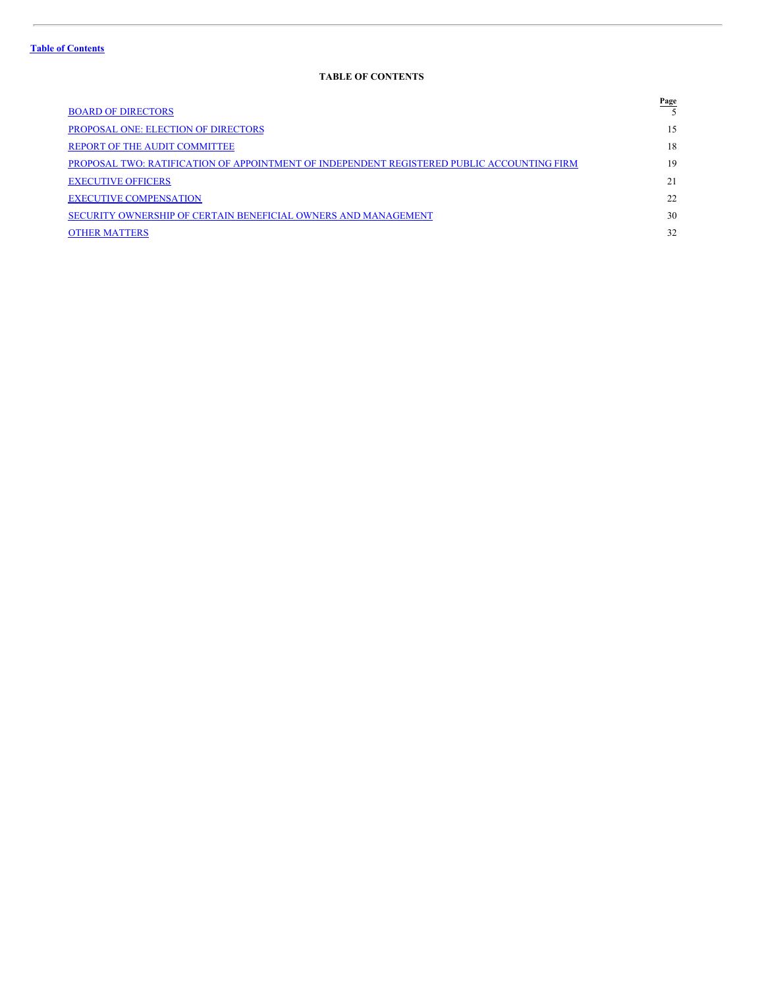# <span id="page-2-0"></span>**TABLE OF CONTENTS**

|                                                                                            | <b>Page</b> |
|--------------------------------------------------------------------------------------------|-------------|
| <b>BOARD OF DIRECTORS</b>                                                                  |             |
| <b>PROPOSAL ONE: ELECTION OF DIRECTORS</b>                                                 | 15          |
| <b>REPORT OF THE AUDIT COMMITTEE</b>                                                       | 18          |
| PROPOSAL TWO: RATIFICATION OF APPOINTMENT OF INDEPENDENT REGISTERED PUBLIC ACCOUNTING FIRM | 19          |
| <b>EXECUTIVE OFFICERS</b>                                                                  | 21          |
| <b>EXECUTIVE COMPENSATION</b>                                                              | 22          |
| SECURITY OWNERSHIP OF CERTAIN BENEFICIAL OWNERS AND MANAGEMENT                             | 30          |
| <b>OTHER MATTERS</b>                                                                       | 32          |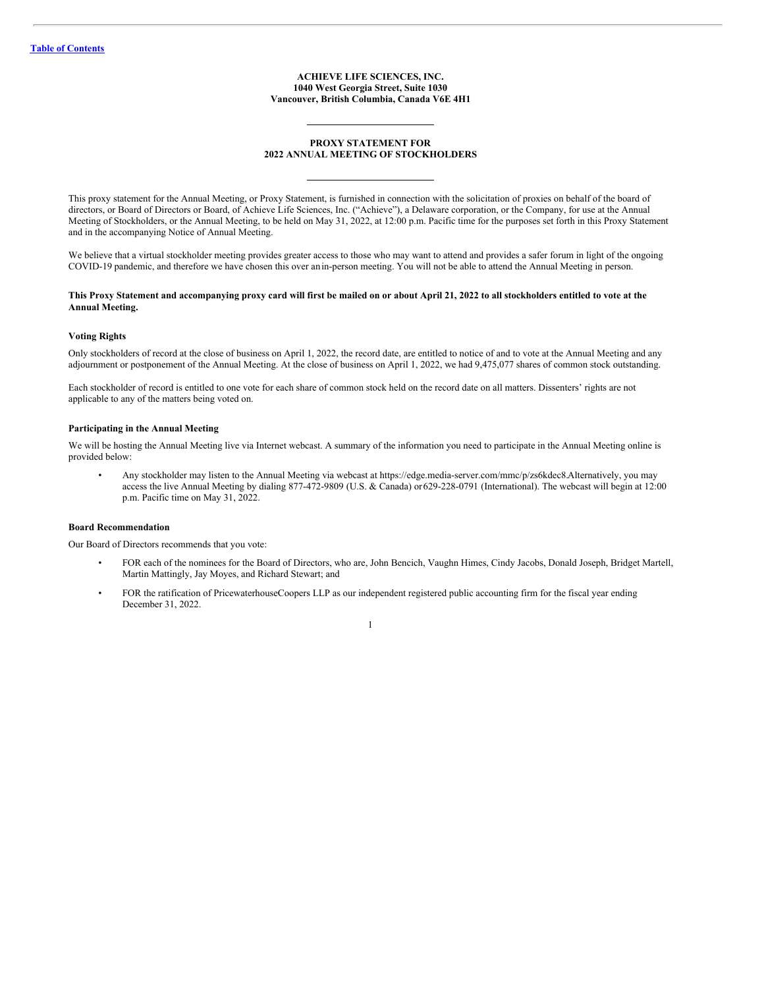### **ACHIEVE LIFE SCIENCES, INC. 1040 West Georgia Street, Suite 1030 Vancouver, British Columbia, Canada V6E 4H1**

# **PROXY STATEMENT FOR 2022 ANNUAL MEETING OF STOCKHOLDERS**

This proxy statement for the Annual Meeting, or Proxy Statement, is furnished in connection with the solicitation of proxies on behalf of the board of directors, or Board of Directors or Board, of Achieve Life Sciences, Inc. ("Achieve"), a Delaware corporation, or the Company, for use at the Annual Meeting of Stockholders, or the Annual Meeting, to be held on May 31, 2022, at 12:00 p.m. Pacific time for the purposes set forth in this Proxy Statement and in the accompanying Notice of Annual Meeting.

We believe that a virtual stockholder meeting provides greater access to those who may want to attend and provides a safer forum in light of the ongoing COVID-19 pandemic, and therefore we have chosen this over anin-person meeting. You will not be able to attend the Annual Meeting in person.

## This Proxy Statement and accompanying proxy card will first be mailed on or about April 21, 2022 to all stockholders entitled to vote at the **Annual Meeting.**

# **Voting Rights**

Only stockholders of record at the close of business on April 1, 2022, the record date, are entitled to notice of and to vote at the Annual Meeting and any adjournment or postponement of the Annual Meeting. At the close of business on April 1, 2022, we had 9,475,077 shares of common stock outstanding.

Each stockholder of record is entitled to one vote for each share of common stock held on the record date on all matters. Dissenters' rights are not applicable to any of the matters being voted on.

### **Participating in the Annual Meeting**

We will be hosting the Annual Meeting live via Internet webcast. A summary of the information you need to participate in the Annual Meeting online is provided below:

• Any stockholder may listen to the Annual Meeting via webcast at https://edge.media-server.com/mmc/p/zs6kdec8.Alternatively, you may access the live Annual Meeting by dialing 877-472-9809 (U.S. & Canada) or629-228-0791 (International). The webcast will begin at 12:00 p.m. Pacific time on May 31, 2022.

# **Board Recommendation**

Our Board of Directors recommends that you vote:

- FOR each of the nominees for the Board of Directors, who are, John Bencich, Vaughn Himes, Cindy Jacobs, Donald Joseph, Bridget Martell, Martin Mattingly, Jay Moyes, and Richard Stewart; and
- FOR the ratification of PricewaterhouseCoopers LLP as our independent registered public accounting firm for the fiscal year ending December 31, 2022.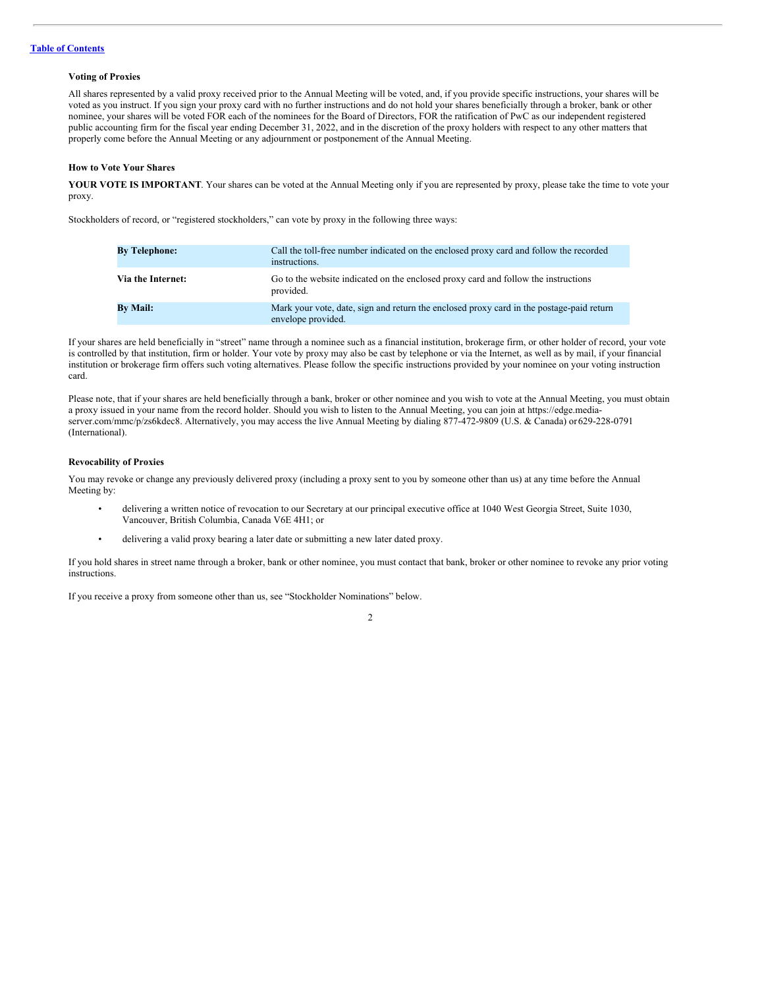### **Voting of Proxies**

All shares represented by a valid proxy received prior to the Annual Meeting will be voted, and, if you provide specific instructions, your shares will be voted as you instruct. If you sign your proxy card with no further instructions and do not hold your shares beneficially through a broker, bank or other nominee, your shares will be voted FOR each of the nominees for the Board of Directors, FOR the ratification of PwC as our independent registered public accounting firm for the fiscal year ending December 31, 2022, and in the discretion of the proxy holders with respect to any other matters that properly come before the Annual Meeting or any adjournment or postponement of the Annual Meeting.

# **How to Vote Your Shares**

YOUR VOTE IS IMPORTANT. Your shares can be voted at the Annual Meeting only if you are represented by proxy, please take the time to vote your proxy.

Stockholders of record, or "registered stockholders," can vote by proxy in the following three ways:

| <b>By Telephone:</b> | Call the toll-free number indicated on the enclosed proxy card and follow the recorded<br>instructions.        |
|----------------------|----------------------------------------------------------------------------------------------------------------|
| Via the Internet:    | Go to the website indicated on the enclosed proxy card and follow the instructions<br>provided.                |
| <b>By Mail:</b>      | Mark your vote, date, sign and return the enclosed proxy card in the postage-paid return<br>envelope provided. |

If your shares are held beneficially in "street" name through a nominee such as a financial institution, brokerage firm, or other holder of record, your vote is controlled by that institution, firm or holder. Your vote by proxy may also be cast by telephone or via the Internet, as well as by mail, if your financial institution or brokerage firm offers such voting alternatives. Please follow the specific instructions provided by your nominee on your voting instruction card.

Please note, that if your shares are held beneficially through a bank, broker or other nominee and you wish to vote at the Annual Meeting, you must obtain a proxy issued in your name from the record holder. Should you wish to listen to the Annual Meeting, you can join at https://edge.mediaserver.com/mmc/p/zs6kdec8. Alternatively, you may access the live Annual Meeting by dialing 877-472-9809 (U.S. & Canada) or 629-228-0791 (International).

### **Revocability of Proxies**

You may revoke or change any previously delivered proxy (including a proxy sent to you by someone other than us) at any time before the Annual Meeting by:

- delivering a written notice of revocation to our Secretary at our principal executive office at 1040 West Georgia Street, Suite 1030, Vancouver, British Columbia, Canada V6E 4H1; or
- delivering a valid proxy bearing a later date or submitting a new later dated proxy.

If you hold shares in street name through a broker, bank or other nominee, you must contact that bank, broker or other nominee to revoke any prior voting instructions.

2

If you receive a proxy from someone other than us, see "Stockholder Nominations" below.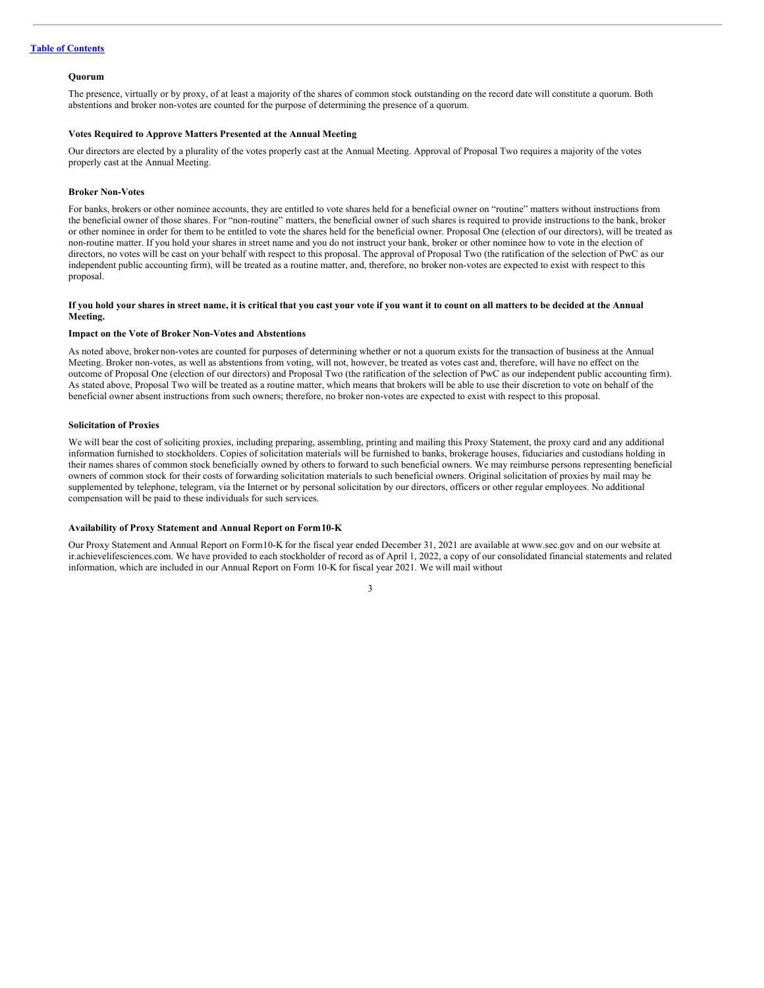# **Table of [Contents](#page-2-0)**

#### **Quorum**

The presence, virtually or by proxy, of at least a majority of the shares of common stock outstanding on the record date will constitute a quorum. Both abstentions and broker non-votes are counted for the purpose of determining the presence of a quorum.

#### **Votes Required to Approve Matters Presented at the Annual Meeting**

Our directors are elected by a plurality of the votes properly cast at the Annual Meeting. Approval of Proposal Two requires a majority of the votes properly cast at the Annual Meeting.

### **Broker Non-Votes**

For banks, brokers or other nominee accounts, they are entitled to vote shares held for a beneficial owner on "routine" matters without instructions from the beneficial owner of those shares. For "non-routine" matters, the beneficial owner of such shares is required to provide instructions to the bank, broker or other nominee in order for them to be entitled to vote the shares held for the beneficial owner. Proposal One (election of our directors), will be treated as non-routine matter. If you hold your shares in street name and you do not instruct your bank, broker or other nominee how to vote in the election of directors, no votes will be cast on your behalf with respect to this proposal. The approval of Proposal Two (the ratification of the selection of PwC as our independent public accounting firm), will be treated as a routine matter, and, therefore, no broker non-votes are expected to exist with respect to this proposal.

### If you hold your shares in street name, it is critical that you cast your vote if you want it to count on all matters to be decided at the Annual **Meeting.**

#### **Impact on the Vote of Broker Non-Votes and Abstentions**

As noted above, broker non-votes are counted for purposes of determining whether or not a quorum exists for the transaction of business at the Annual Meeting. Broker non-votes, as well as abstentions from voting, will not, however, be treated as votes cast and, therefore, will have no effect on the outcome of Proposal One (election of our directors) and Proposal Two (the ratification of the selection of PwC as our independent public accounting firm). As stated above, Proposal Two will be treated as a routine matter, which means that brokers will be able to use their discretion to vote on behalf of the beneficial owner absent instructions from such owners; therefore, no broker non-votes are expected to exist with respect to this proposal.

# **Solicitation of Proxies**

We will bear the cost of soliciting proxies, including preparing, assembling, printing and mailing this Proxy Statement, the proxy card and any additional information furnished to stockholders. Copies of solicitation materials will be furnished to banks, brokerage houses, fiduciaries and custodians holding in their names shares of common stock beneficially owned by others to forward to such beneficial owners. We may reimburse persons representing beneficial owners of common stock for their costs of forwarding solicitation materials to such beneficial owners. Original solicitation of proxies by mail may be supplemented by telephone, telegram, via the Internet or by personal solicitation by our directors, officers or other regular employees. No additional compensation will be paid to these individuals for such services.

### **Availability of Proxy Statement and Annual Report on Form10-K**

Our Proxy Statement and Annual Report on Form10-K for the fiscal year ended December 31, 2021 are available at www.sec.gov and on our website at ir.achievelifesciences.com. We have provided to each stockholder of record as of April 1, 2022, a copy of our consolidated financial statements and related information, which are included in our Annual Report on Form 10-K for fiscal year 2021. We will mail without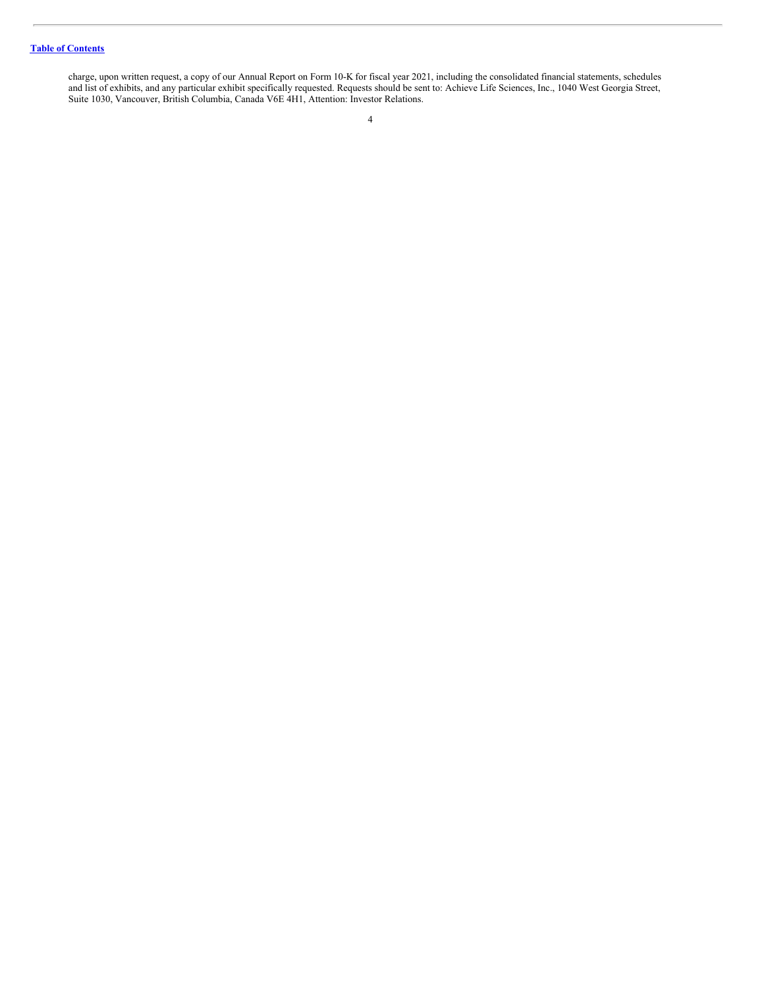# **Table of [Contents](#page-2-0)**

charge, upon written request, a copy of our Annual Report on Form 10-K for fiscal year 2021, including the consolidated financial statements, schedules and list of exhibits, and any particular exhibit specifically requested. Requests should be sent to: Achieve Life Sciences, Inc., 1040 West Georgia Street, Suite 1030, Vancouver, British Columbia, Canada V6E 4H1, Attention: Investor Relations.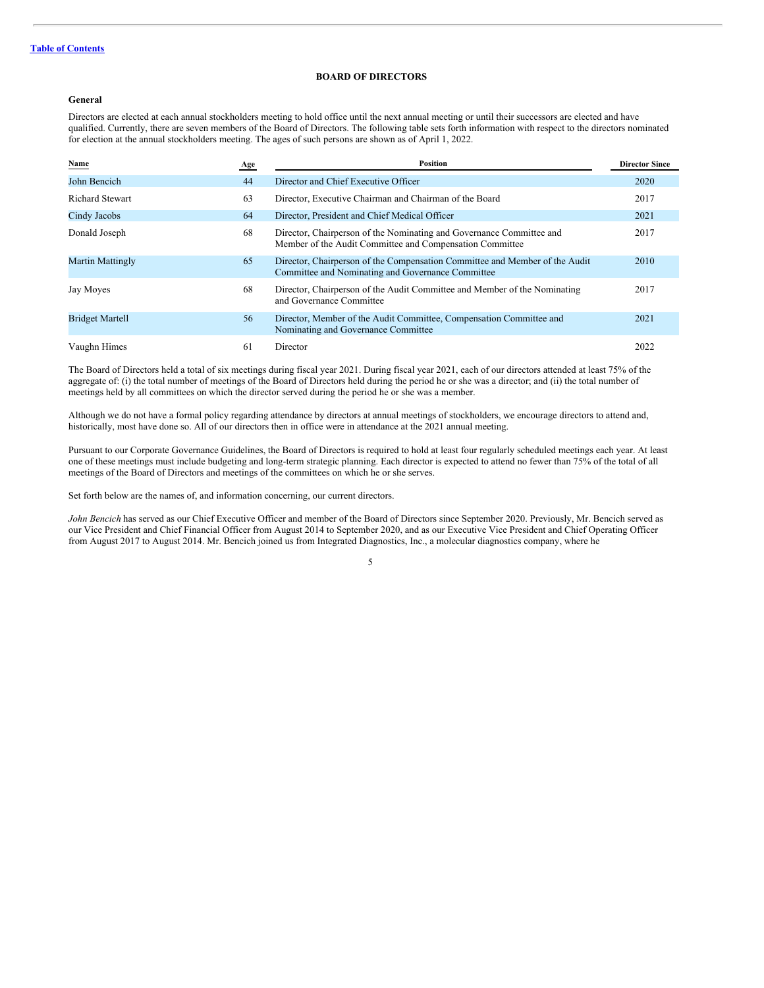# <span id="page-7-0"></span>**BOARD OF DIRECTORS**

# **General**

Directors are elected at each annual stockholders meeting to hold office until the next annual meeting or until their successors are elected and have qualified. Currently, there are seven members of the Board of Directors. The following table sets forth information with respect to the directors nominated for election at the annual stockholders meeting. The ages of such persons are shown as of April 1, 2022.

| Name                    | Age | Position                                                                                                                         | <b>Director Since</b> |
|-------------------------|-----|----------------------------------------------------------------------------------------------------------------------------------|-----------------------|
| John Bencich            | 44  | Director and Chief Executive Officer                                                                                             | 2020                  |
| Richard Stewart         | 63  | Director, Executive Chairman and Chairman of the Board                                                                           | 2017                  |
| Cindy Jacobs            | 64  | Director, President and Chief Medical Officer                                                                                    | 2021                  |
| Donald Joseph           | 68  | Director, Chairperson of the Nominating and Governance Committee and<br>Member of the Audit Committee and Compensation Committee | 2017                  |
| <b>Martin Mattingly</b> | 65  | Director, Chairperson of the Compensation Committee and Member of the Audit<br>Committee and Nominating and Governance Committee | 2010                  |
| Jay Moyes               | 68  | Director, Chairperson of the Audit Committee and Member of the Nominating<br>and Governance Committee                            | 2017                  |
| <b>Bridget Martell</b>  | 56  | Director, Member of the Audit Committee, Compensation Committee and<br>Nominating and Governance Committee                       | 2021                  |
| Vaughn Himes            | 61  | Director                                                                                                                         | 2022                  |

The Board of Directors held a total of six meetings during fiscal year 2021. During fiscal year 2021, each of our directors attended at least 75% of the aggregate of: (i) the total number of meetings of the Board of Directors held during the period he or she was a director; and (ii) the total number of meetings held by all committees on which the director served during the period he or she was a member.

Although we do not have a formal policy regarding attendance by directors at annual meetings of stockholders, we encourage directors to attend and, historically, most have done so. All of our directors then in office were in attendance at the 2021 annual meeting.

Pursuant to our Corporate Governance Guidelines, the Board of Directors is required to hold at least four regularly scheduled meetings each year. At least one of these meetings must include budgeting and long-term strategic planning. Each director is expected to attend no fewer than 75% of the total of all meetings of the Board of Directors and meetings of the committees on which he or she serves.

Set forth below are the names of, and information concerning, our current directors.

*John Bencich* has served as our Chief Executive Officer and member of the Board of Directors since September 2020. Previously, Mr. Bencich served as our Vice President and Chief Financial Officer from August 2014 to September 2020, and as our Executive Vice President and Chief Operating Officer from August 2017 to August 2014. Mr. Bencich joined us from Integrated Diagnostics, Inc., a molecular diagnostics company, where he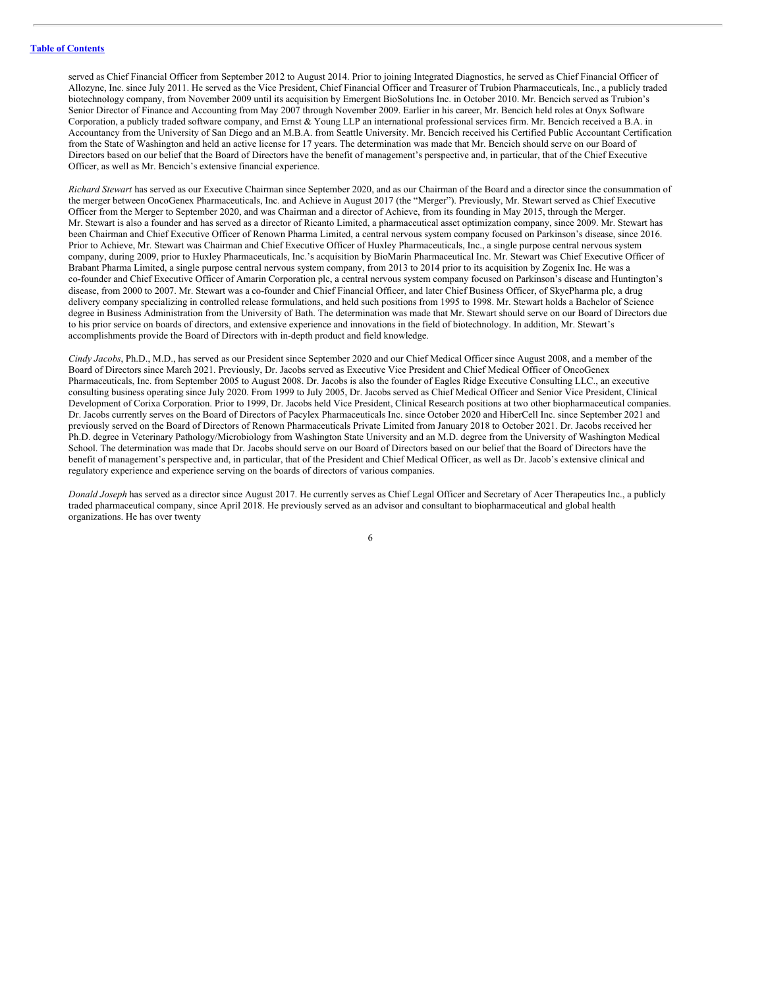served as Chief Financial Officer from September 2012 to August 2014. Prior to joining Integrated Diagnostics, he served as Chief Financial Officer of Allozyne, Inc. since July 2011. He served as the Vice President, Chief Financial Officer and Treasurer of Trubion Pharmaceuticals, Inc., a publicly traded biotechnology company, from November 2009 until its acquisition by Emergent BioSolutions Inc. in October 2010. Mr. Bencich served as Trubion's Senior Director of Finance and Accounting from May 2007 through November 2009. Earlier in his career, Mr. Bencich held roles at Onyx Software Corporation, a publicly traded software company, and Ernst & Young LLP an international professional services firm. Mr. Bencich received a B.A. in Accountancy from the University of San Diego and an M.B.A. from Seattle University. Mr. Bencich received his Certified Public Accountant Certification from the State of Washington and held an active license for 17 years. The determination was made that Mr. Bencich should serve on our Board of Directors based on our belief that the Board of Directors have the benefit of management's perspective and, in particular, that of the Chief Executive Officer, as well as Mr. Bencich's extensive financial experience.

*Richard Stewart* has served as our Executive Chairman since September 2020, and as our Chairman of the Board and a director since the consummation of the merger between OncoGenex Pharmaceuticals, Inc. and Achieve in August 2017 (the "Merger"). Previously, Mr. Stewart served as Chief Executive Officer from the Merger to September 2020, and was Chairman and a director of Achieve, from its founding in May 2015, through the Merger. Mr. Stewart is also a founder and has served as a director of Ricanto Limited, a pharmaceutical asset optimization company, since 2009. Mr. Stewart has been Chairman and Chief Executive Officer of Renown Pharma Limited, a central nervous system company focused on Parkinson's disease, since 2016. Prior to Achieve, Mr. Stewart was Chairman and Chief Executive Officer of Huxley Pharmaceuticals, Inc., a single purpose central nervous system company, during 2009, prior to Huxley Pharmaceuticals, Inc.'s acquisition by BioMarin Pharmaceutical Inc. Mr. Stewart was Chief Executive Officer of Brabant Pharma Limited, a single purpose central nervous system company, from 2013 to 2014 prior to its acquisition by Zogenix Inc. He was a co-founder and Chief Executive Officer of Amarin Corporation plc, a central nervous system company focused on Parkinson's disease and Huntington's disease, from 2000 to 2007. Mr. Stewart was a co-founder and Chief Financial Officer, and later Chief Business Officer, of SkyePharma plc, a drug delivery company specializing in controlled release formulations, and held such positions from 1995 to 1998. Mr. Stewart holds a Bachelor of Science degree in Business Administration from the University of Bath. The determination was made that Mr. Stewart should serve on our Board of Directors due to his prior service on boards of directors, and extensive experience and innovations in the field of biotechnology. In addition, Mr. Stewart's accomplishments provide the Board of Directors with in-depth product and field knowledge.

*Cindy Jacobs*, Ph.D., M.D., has served as our President since September 2020 and our Chief Medical Officer since August 2008, and a member of the Board of Directors since March 2021. Previously, Dr. Jacobs served as Executive Vice President and Chief Medical Officer of OncoGenex Pharmaceuticals, Inc. from September 2005 to August 2008. Dr. Jacobs is also the founder of Eagles Ridge Executive Consulting LLC., an executive consulting business operating since July 2020. From 1999 to July 2005, Dr. Jacobs served as Chief Medical Officer and Senior Vice President, Clinical Development of Corixa Corporation. Prior to 1999, Dr. Jacobs held Vice President, Clinical Research positions at two other biopharmaceutical companies. Dr. Jacobs currently serves on the Board of Directors of Pacylex Pharmaceuticals Inc. since October 2020 and HiberCell Inc. since September 2021 and previously served on the Board of Directors of Renown Pharmaceuticals Private Limited from January 2018 to October 2021. Dr. Jacobs received her Ph.D. degree in Veterinary Pathology/Microbiology from Washington State University and an M.D. degree from the University of Washington Medical School. The determination was made that Dr. Jacobs should serve on our Board of Directors based on our belief that the Board of Directors have the benefit of management's perspective and, in particular, that of the President and Chief Medical Officer, as well as Dr. Jacob's extensive clinical and regulatory experience and experience serving on the boards of directors of various companies.

*Donald Joseph* has served as a director since August 2017. He currently serves as Chief Legal Officer and Secretary of Acer Therapeutics Inc., a publicly traded pharmaceutical company, since April 2018. He previously served as an advisor and consultant to biopharmaceutical and global health organizations. He has over twenty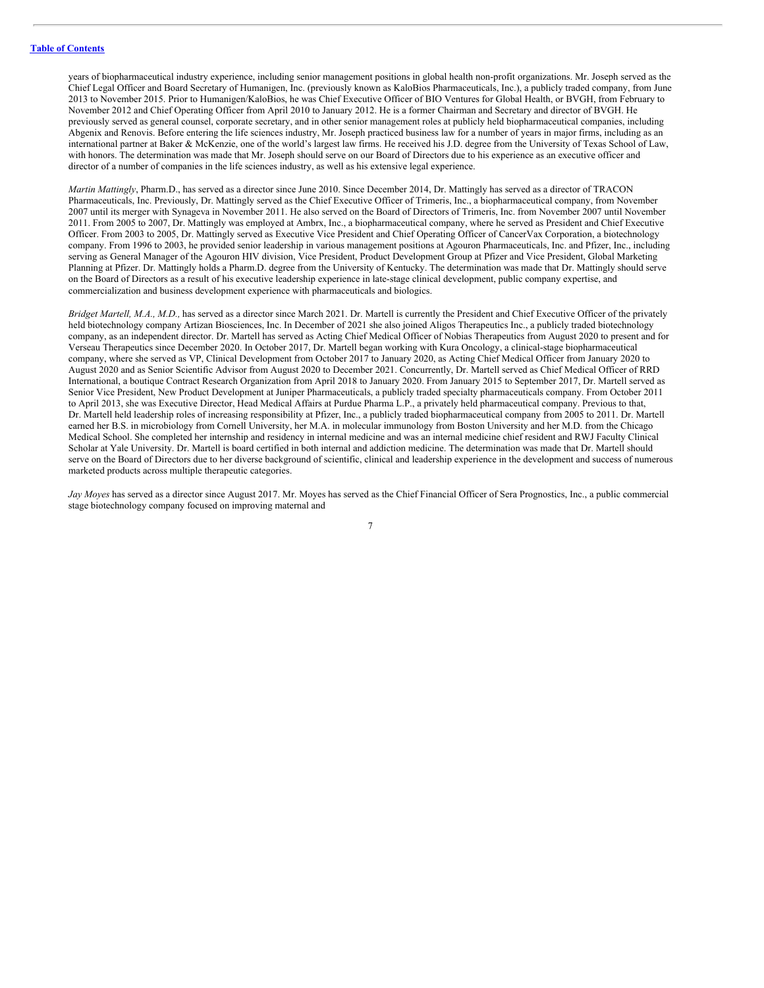years of biopharmaceutical industry experience, including senior management positions in global health non-profit organizations. Mr. Joseph served as the Chief Legal Officer and Board Secretary of Humanigen, Inc. (previously known as KaloBios Pharmaceuticals, Inc.), a publicly traded company, from June 2013 to November 2015. Prior to Humanigen/KaloBios, he was Chief Executive Officer of BIO Ventures for Global Health, or BVGH, from February to November 2012 and Chief Operating Officer from April 2010 to January 2012. He is a former Chairman and Secretary and director of BVGH. He previously served as general counsel, corporate secretary, and in other senior management roles at publicly held biopharmaceutical companies, including Abgenix and Renovis. Before entering the life sciences industry, Mr. Joseph practiced business law for a number of years in major firms, including as an international partner at Baker & McKenzie, one of the world's largest law firms. He received his J.D. degree from the University of Texas School of Law, with honors. The determination was made that Mr. Joseph should serve on our Board of Directors due to his experience as an executive officer and director of a number of companies in the life sciences industry, as well as his extensive legal experience.

*Martin Mattingly*, Pharm.D., has served as a director since June 2010. Since December 2014, Dr. Mattingly has served as a director of TRACON Pharmaceuticals, Inc. Previously, Dr. Mattingly served as the Chief Executive Officer of Trimeris, Inc., a biopharmaceutical company, from November 2007 until its merger with Synageva in November 2011. He also served on the Board of Directors of Trimeris, Inc. from November 2007 until November 2011. From 2005 to 2007, Dr. Mattingly was employed at Ambrx, Inc., a biopharmaceutical company, where he served as President and Chief Executive Officer. From 2003 to 2005, Dr. Mattingly served as Executive Vice President and Chief Operating Officer of CancerVax Corporation, a biotechnology company. From 1996 to 2003, he provided senior leadership in various management positions at Agouron Pharmaceuticals, Inc. and Pfizer, Inc., including serving as General Manager of the Agouron HIV division, Vice President, Product Development Group at Pfizer and Vice President, Global Marketing Planning at Pfizer. Dr. Mattingly holds a Pharm.D. degree from the University of Kentucky. The determination was made that Dr. Mattingly should serve on the Board of Directors as a result of his executive leadership experience in late-stage clinical development, public company expertise, and commercialization and business development experience with pharmaceuticals and biologics.

*Bridget Martell, M.A., M.D.,* has served as a director since March 2021. Dr. Martell is currently the President and Chief Executive Officer of the privately held biotechnology company Artizan Biosciences, Inc. In December of 2021 she also joined Aligos Therapeutics Inc., a publicly traded biotechnology company, as an independent director. Dr. Martell has served as Acting Chief Medical Officer of Nobias Therapeutics from August 2020 to present and for Verseau Therapeutics since December 2020. In October 2017, Dr. Martell began working with Kura Oncology, a clinical-stage biopharmaceutical company, where she served as VP, Clinical Development from October 2017 to January 2020, as Acting Chief Medical Officer from January 2020 to August 2020 and as Senior Scientific Advisor from August 2020 to December 2021. Concurrently, Dr. Martell served as Chief Medical Officer of RRD International, a boutique Contract Research Organization from April 2018 to January 2020. From January 2015 to September 2017, Dr. Martell served as Senior Vice President, New Product Development at Juniper Pharmaceuticals, a publicly traded specialty pharmaceuticals company. From October 2011 to April 2013, she was Executive Director, Head Medical Affairs at Purdue Pharma L.P., a privately held pharmaceutical company. Previous to that, Dr. Martell held leadership roles of increasing responsibility at Pfizer, Inc., a publicly traded biopharmaceutical company from 2005 to 2011. Dr. Martell earned her B.S. in microbiology from Cornell University, her M.A. in molecular immunology from Boston University and her M.D. from the Chicago Medical School. She completed her internship and residency in internal medicine and was an internal medicine chief resident and RWJ Faculty Clinical Scholar at Yale University. Dr. Martell is board certified in both internal and addiction medicine. The determination was made that Dr. Martell should serve on the Board of Directors due to her diverse background of scientific, clinical and leadership experience in the development and success of numerous marketed products across multiple therapeutic categories.

*Jay Moyes* has served as a director since August 2017. Mr. Moyes has served as the Chief Financial Officer of Sera Prognostics, Inc., a public commercial stage biotechnology company focused on improving maternal and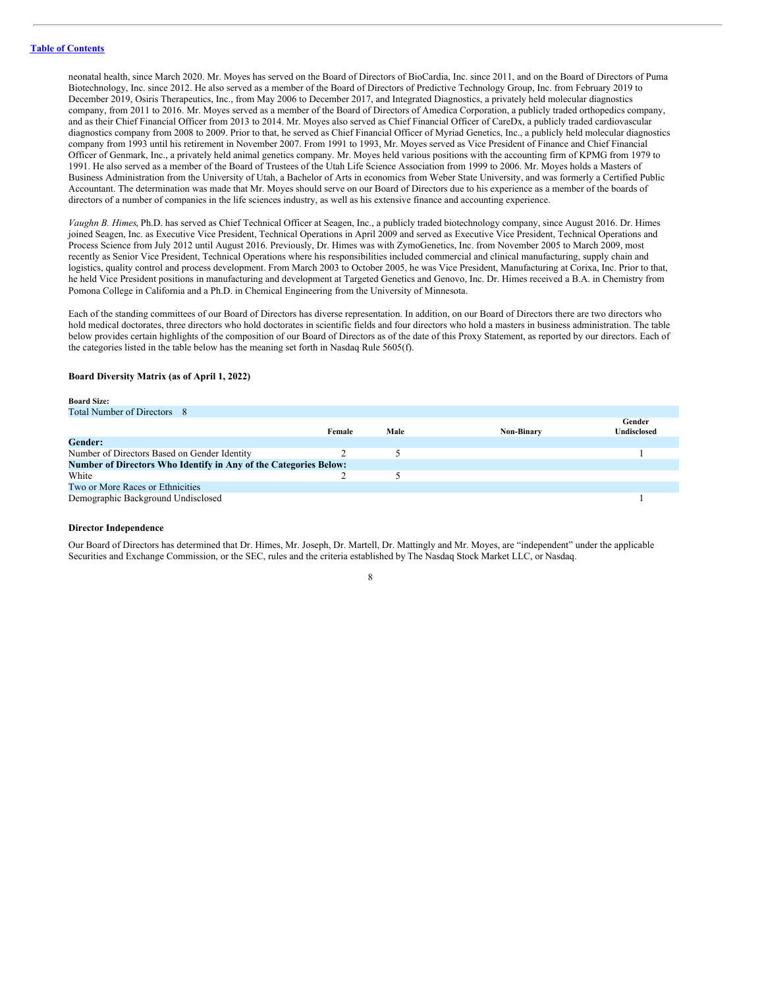neonatal health, since March 2020. Mr. Moyes has served on the Board of Directors of BioCardia, Inc. since 2011, and on the Board of Directors of Puma Biotechnology, Inc. since 2012. He also served as a member of the Board of Directors of Predictive Technology Group, Inc. from February 2019 to December 2019, Osiris Therapeutics, Inc., from May 2006 to December 2017, and Integrated Diagnostics, a privately held molecular diagnostics company, from 2011 to 2016. Mr. Moyes served as a member of the Board of Directors of Amedica Corporation, a publicly traded orthopedics company, and as their Chief Financial Officer from 2013 to 2014. Mr. Moyes also served as Chief Financial Officer of CareDx, a publicly traded cardiovascular diagnostics company from 2008 to 2009. Prior to that, he served as Chief Financial Officer of Myriad Genetics, Inc., a publicly held molecular diagnostics company from 1993 until his retirement in November 2007. From 1991 to 1993, Mr. Moyes served as Vice President of Finance and Chief Financial Officer of Genmark, Inc., a privately held animal genetics company. Mr. Moyes held various positions with the accounting firm of KPMG from 1979 to 1991. He also served as a member of the Board of Trustees of the Utah Life Science Association from 1999 to 2006. Mr. Moyes holds a Masters of Business Administration from the University of Utah, a Bachelor of Arts in economics from Weber State University, and was formerly a Certified Public Accountant. The determination was made that Mr. Moyes should serve on our Board of Directors due to his experience as a member of the boards of directors of a number of companies in the life sciences industry, as well as his extensive finance and accounting experience.

*Vaughn B. Himes*, Ph.D. has served as Chief Technical Officer at Seagen, Inc., a publicly traded biotechnology company, since August 2016. Dr. Himes joined Seagen, Inc. as Executive Vice President, Technical Operations in April 2009 and served as Executive Vice President, Technical Operations and Process Science from July 2012 until August 2016. Previously, Dr. Himes was with ZymoGenetics, Inc. from November 2005 to March 2009, most recently as Senior Vice President, Technical Operations where his responsibilities included commercial and clinical manufacturing, supply chain and logistics, quality control and process development. From March 2003 to October 2005, he was Vice President, Manufacturing at Corixa, Inc. Prior to that, he held Vice President positions in manufacturing and development at Targeted Genetics and Genovo, Inc. Dr. Himes received a B.A. in Chemistry from Pomona College in California and a Ph.D. in Chemical Engineering from the University of Minnesota.

Each of the standing committees of our Board of Directors has diverse representation. In addition, on our Board of Directors there are two directors who hold medical doctorates, three directors who hold doctorates in scientific fields and four directors who hold a masters in business administration. The table below provides certain highlights of the composition of our Board of Directors as of the date of this Proxy Statement, as reported by our directors. Each of the categories listed in the table below has the meaning set forth in Nasdaq Rule 5605(f).

# **Board Diversity Matrix (as of April 1, 2022)**

| -------                                                          |        |      |            |                       |
|------------------------------------------------------------------|--------|------|------------|-----------------------|
| Total Number of Directors 8                                      |        |      |            |                       |
|                                                                  | Female | Male | Non-Binary | Gender<br>Undisclosed |
| <b>Gender:</b>                                                   |        |      |            |                       |
| Number of Directors Based on Gender Identity                     |        |      |            |                       |
| Number of Directors Who Identify in Any of the Categories Below: |        |      |            |                       |
| White                                                            |        |      |            |                       |
| Two or More Races or Ethnicities                                 |        |      |            |                       |
| Demographic Background Undisclosed                               |        |      |            |                       |
|                                                                  |        |      |            |                       |

#### **Director Independence**

**Board Size:**

Our Board of Directors has determined that Dr. Himes, Mr. Joseph, Dr. Martell, Dr. Mattingly and Mr. Moyes, are "independent" under the applicable Securities and Exchange Commission, or the SEC, rules and the criteria established by The Nasdaq Stock Market LLC, or Nasdaq.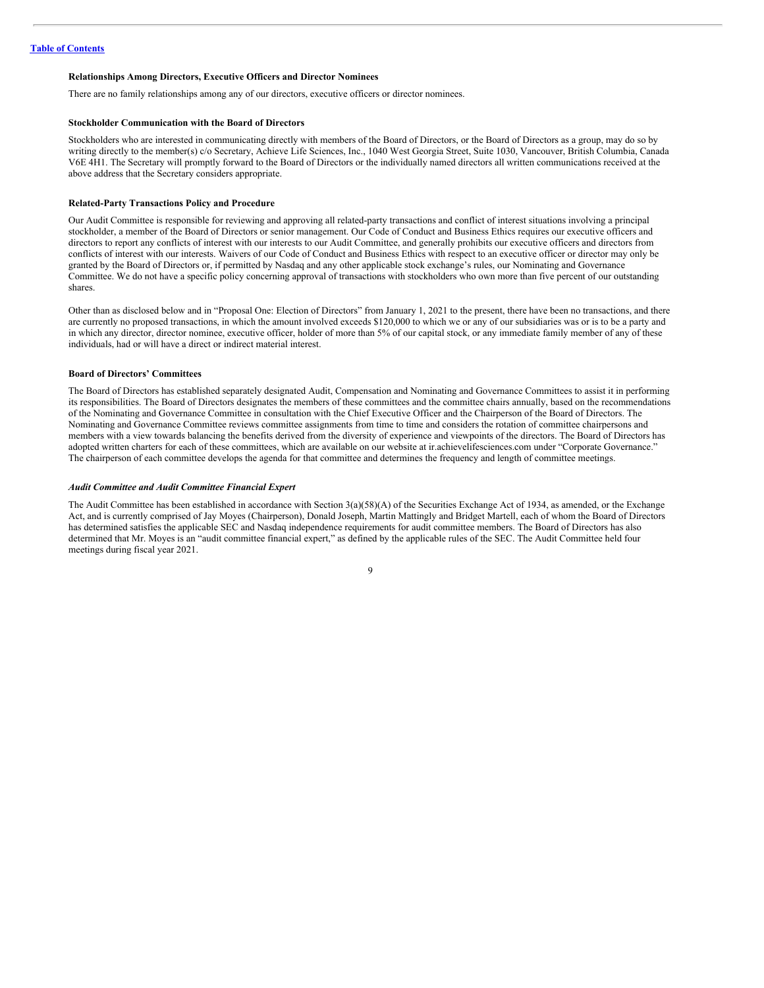# **Relationships Among Directors, Executive Officers and Director Nominees**

There are no family relationships among any of our directors, executive officers or director nominees.

### **Stockholder Communication with the Board of Directors**

Stockholders who are interested in communicating directly with members of the Board of Directors, or the Board of Directors as a group, may do so by writing directly to the member(s) c/o Secretary, Achieve Life Sciences, Inc., 1040 West Georgia Street, Suite 1030, Vancouver, British Columbia, Canada V6E 4H1. The Secretary will promptly forward to the Board of Directors or the individually named directors all written communications received at the above address that the Secretary considers appropriate.

# **Related-Party Transactions Policy and Procedure**

Our Audit Committee is responsible for reviewing and approving all related-party transactions and conflict of interest situations involving a principal stockholder, a member of the Board of Directors or senior management. Our Code of Conduct and Business Ethics requires our executive officers and directors to report any conflicts of interest with our interests to our Audit Committee, and generally prohibits our executive officers and directors from conflicts of interest with our interests. Waivers of our Code of Conduct and Business Ethics with respect to an executive officer or director may only be granted by the Board of Directors or, if permitted by Nasdaq and any other applicable stock exchange's rules, our Nominating and Governance Committee. We do not have a specific policy concerning approval of transactions with stockholders who own more than five percent of our outstanding shares.

Other than as disclosed below and in "Proposal One: Election of Directors" from January 1, 2021 to the present, there have been no transactions, and there are currently no proposed transactions, in which the amount involved exceeds \$120,000 to which we or any of our subsidiaries was or is to be a party and in which any director, director nominee, executive officer, holder of more than 5% of our capital stock, or any immediate family member of any of these individuals, had or will have a direct or indirect material interest.

#### **Board of Directors' Committees**

The Board of Directors has established separately designated Audit, Compensation and Nominating and Governance Committees to assist it in performing its responsibilities. The Board of Directors designates the members of these committees and the committee chairs annually, based on the recommendations of the Nominating and Governance Committee in consultation with the Chief Executive Officer and the Chairperson of the Board of Directors. The Nominating and Governance Committee reviews committee assignments from time to time and considers the rotation of committee chairpersons and members with a view towards balancing the benefits derived from the diversity of experience and viewpoints of the directors. The Board of Directors has adopted written charters for each of these committees, which are available on our website at ir.achievelifesciences.com under "Corporate Governance." The chairperson of each committee develops the agenda for that committee and determines the frequency and length of committee meetings.

### *Audit Committee and Audit Committee Financial Expert*

The Audit Committee has been established in accordance with Section 3(a)(58)(A) of the Securities Exchange Act of 1934, as amended, or the Exchange Act, and is currently comprised of Jay Moyes (Chairperson), Donald Joseph, Martin Mattingly and Bridget Martell, each of whom the Board of Directors has determined satisfies the applicable SEC and Nasdaq independence requirements for audit committee members. The Board of Directors has also determined that Mr. Moyes is an "audit committee financial expert," as defined by the applicable rules of the SEC. The Audit Committee held four meetings during fiscal year 2021.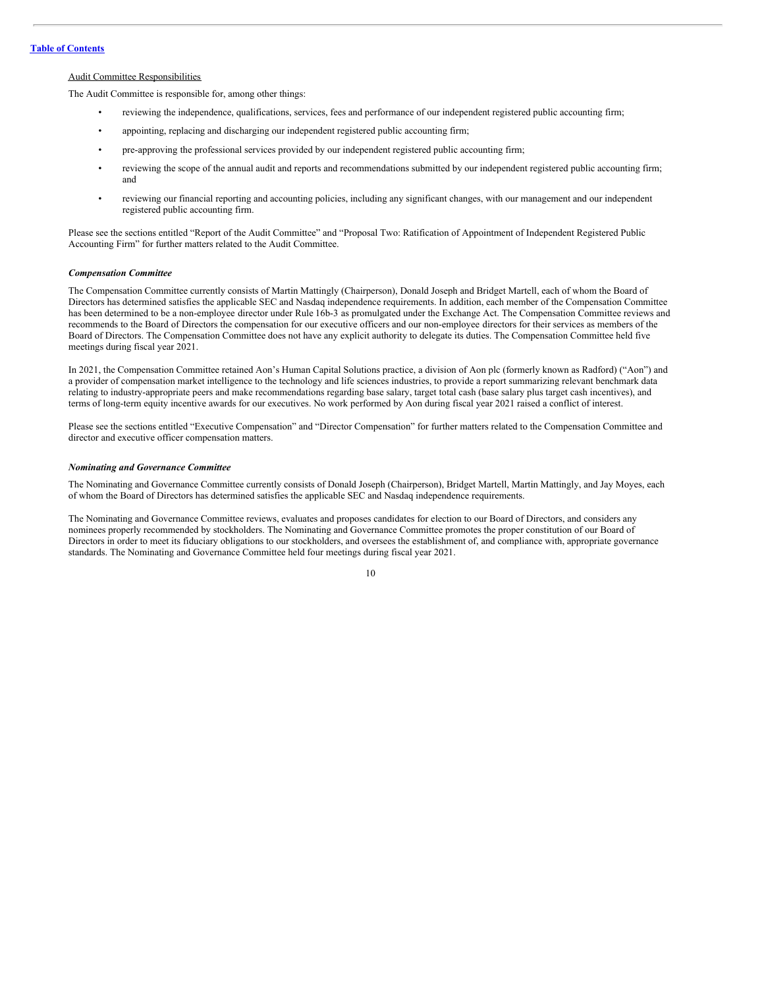# **Table of [Contents](#page-2-0)**

# Audit Committee Responsibilities

The Audit Committee is responsible for, among other things:

- reviewing the independence, qualifications, services, fees and performance of our independent registered public accounting firm;
- appointing, replacing and discharging our independent registered public accounting firm;
- pre-approving the professional services provided by our independent registered public accounting firm;
- reviewing the scope of the annual audit and reports and recommendations submitted by our independent registered public accounting firm; and
- reviewing our financial reporting and accounting policies, including any significant changes, with our management and our independent registered public accounting firm.

Please see the sections entitled "Report of the Audit Committee" and "Proposal Two: Ratification of Appointment of Independent Registered Public Accounting Firm" for further matters related to the Audit Committee.

# *Compensation Committee*

The Compensation Committee currently consists of Martin Mattingly (Chairperson), Donald Joseph and Bridget Martell, each of whom the Board of Directors has determined satisfies the applicable SEC and Nasdaq independence requirements. In addition, each member of the Compensation Committee has been determined to be a non-employee director under Rule 16b-3 as promulgated under the Exchange Act. The Compensation Committee reviews and recommends to the Board of Directors the compensation for our executive officers and our non-employee directors for their services as members of the Board of Directors. The Compensation Committee does not have any explicit authority to delegate its duties. The Compensation Committee held five meetings during fiscal year 2021.

In 2021, the Compensation Committee retained Aon's Human Capital Solutions practice, a division of Aon plc (formerly known as Radford) ("Aon") and a provider of compensation market intelligence to the technology and life sciences industries, to provide a report summarizing relevant benchmark data relating to industry-appropriate peers and make recommendations regarding base salary, target total cash (base salary plus target cash incentives), and terms of long-term equity incentive awards for our executives. No work performed by Aon during fiscal year 2021 raised a conflict of interest.

Please see the sections entitled "Executive Compensation" and "Director Compensation" for further matters related to the Compensation Committee and director and executive officer compensation matters.

#### *Nominating and Governance Committee*

The Nominating and Governance Committee currently consists of Donald Joseph (Chairperson), Bridget Martell, Martin Mattingly, and Jay Moyes, each of whom the Board of Directors has determined satisfies the applicable SEC and Nasdaq independence requirements.

The Nominating and Governance Committee reviews, evaluates and proposes candidates for election to our Board of Directors, and considers any nominees properly recommended by stockholders. The Nominating and Governance Committee promotes the proper constitution of our Board of Directors in order to meet its fiduciary obligations to our stockholders, and oversees the establishment of, and compliance with, appropriate governance standards. The Nominating and Governance Committee held four meetings during fiscal year 2021.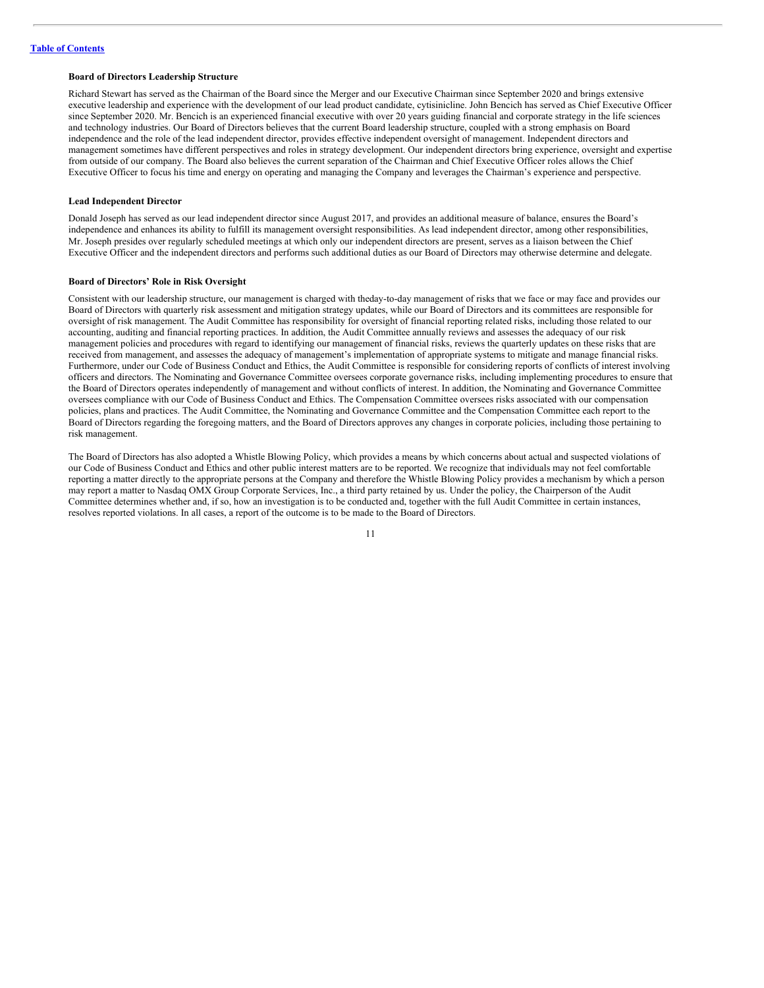# **Board of Directors Leadership Structure**

Richard Stewart has served as the Chairman of the Board since the Merger and our Executive Chairman since September 2020 and brings extensive executive leadership and experience with the development of our lead product candidate, cytisinicline. John Bencich has served as Chief Executive Officer since September 2020. Mr. Bencich is an experienced financial executive with over 20 years guiding financial and corporate strategy in the life sciences and technology industries. Our Board of Directors believes that the current Board leadership structure, coupled with a strong emphasis on Board independence and the role of the lead independent director, provides effective independent oversight of management. Independent directors and management sometimes have different perspectives and roles in strategy development. Our independent directors bring experience, oversight and expertise from outside of our company. The Board also believes the current separation of the Chairman and Chief Executive Officer roles allows the Chief Executive Officer to focus his time and energy on operating and managing the Company and leverages the Chairman's experience and perspective.

# **Lead Independent Director**

Donald Joseph has served as our lead independent director since August 2017, and provides an additional measure of balance, ensures the Board's independence and enhances its ability to fulfill its management oversight responsibilities. As lead independent director, among other responsibilities, Mr. Joseph presides over regularly scheduled meetings at which only our independent directors are present, serves as a liaison between the Chief Executive Officer and the independent directors and performs such additional duties as our Board of Directors may otherwise determine and delegate.

### **Board of Directors' Role in Risk Oversight**

Consistent with our leadership structure, our management is charged with theday-to-day management of risks that we face or may face and provides our Board of Directors with quarterly risk assessment and mitigation strategy updates, while our Board of Directors and its committees are responsible for oversight of risk management. The Audit Committee has responsibility for oversight of financial reporting related risks, including those related to our accounting, auditing and financial reporting practices. In addition, the Audit Committee annually reviews and assesses the adequacy of our risk management policies and procedures with regard to identifying our management of financial risks, reviews the quarterly updates on these risks that are received from management, and assesses the adequacy of management's implementation of appropriate systems to mitigate and manage financial risks. Furthermore, under our Code of Business Conduct and Ethics, the Audit Committee is responsible for considering reports of conflicts of interest involving officers and directors. The Nominating and Governance Committee oversees corporate governance risks, including implementing procedures to ensure that the Board of Directors operates independently of management and without conflicts of interest. In addition, the Nominating and Governance Committee oversees compliance with our Code of Business Conduct and Ethics. The Compensation Committee oversees risks associated with our compensation policies, plans and practices. The Audit Committee, the Nominating and Governance Committee and the Compensation Committee each report to the Board of Directors regarding the foregoing matters, and the Board of Directors approves any changes in corporate policies, including those pertaining to risk management.

The Board of Directors has also adopted a Whistle Blowing Policy, which provides a means by which concerns about actual and suspected violations of our Code of Business Conduct and Ethics and other public interest matters are to be reported. We recognize that individuals may not feel comfortable reporting a matter directly to the appropriate persons at the Company and therefore the Whistle Blowing Policy provides a mechanism by which a person may report a matter to Nasdaq OMX Group Corporate Services, Inc., a third party retained by us. Under the policy, the Chairperson of the Audit Committee determines whether and, if so, how an investigation is to be conducted and, together with the full Audit Committee in certain instances, resolves reported violations. In all cases, a report of the outcome is to be made to the Board of Directors.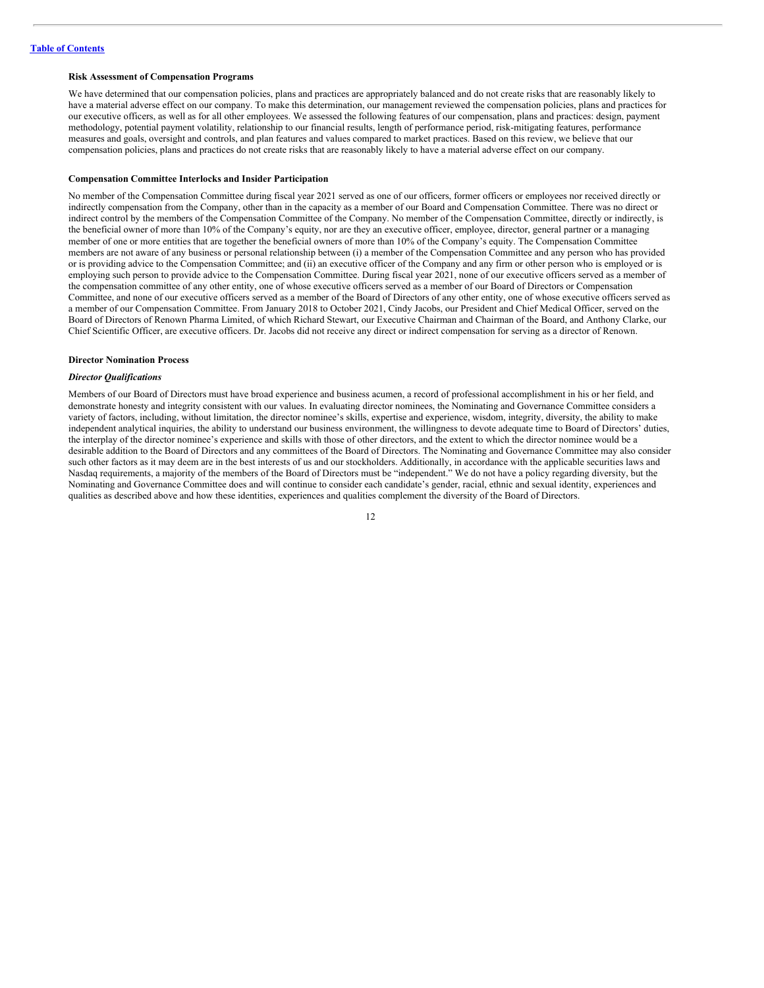# **Risk Assessment of Compensation Programs**

We have determined that our compensation policies, plans and practices are appropriately balanced and do not create risks that are reasonably likely to have a material adverse effect on our company. To make this determination, our management reviewed the compensation policies, plans and practices for our executive officers, as well as for all other employees. We assessed the following features of our compensation, plans and practices: design, payment methodology, potential payment volatility, relationship to our financial results, length of performance period, risk-mitigating features, performance measures and goals, oversight and controls, and plan features and values compared to market practices. Based on this review, we believe that our compensation policies, plans and practices do not create risks that are reasonably likely to have a material adverse effect on our company.

#### **Compensation Committee Interlocks and Insider Participation**

No member of the Compensation Committee during fiscal year 2021 served as one of our officers, former officers or employees nor received directly or indirectly compensation from the Company, other than in the capacity as a member of our Board and Compensation Committee. There was no direct or indirect control by the members of the Compensation Committee of the Company. No member of the Compensation Committee, directly or indirectly, is the beneficial owner of more than 10% of the Company's equity, nor are they an executive officer, employee, director, general partner or a managing member of one or more entities that are together the beneficial owners of more than 10% of the Company's equity. The Compensation Committee members are not aware of any business or personal relationship between (i) a member of the Compensation Committee and any person who has provided or is providing advice to the Compensation Committee; and (ii) an executive officer of the Company and any firm or other person who is employed or is employing such person to provide advice to the Compensation Committee. During fiscal year 2021, none of our executive officers served as a member of the compensation committee of any other entity, one of whose executive officers served as a member of our Board of Directors or Compensation Committee, and none of our executive officers served as a member of the Board of Directors of any other entity, one of whose executive officers served as a member of our Compensation Committee. From January 2018 to October 2021, Cindy Jacobs, our President and Chief Medical Officer, served on the Board of Directors of Renown Pharma Limited, of which Richard Stewart, our Executive Chairman and Chairman of the Board, and Anthony Clarke, our Chief Scientific Officer, are executive officers. Dr. Jacobs did not receive any direct or indirect compensation for serving as a director of Renown.

#### **Director Nomination Process**

#### *Director Qualifications*

Members of our Board of Directors must have broad experience and business acumen, a record of professional accomplishment in his or her field, and demonstrate honesty and integrity consistent with our values. In evaluating director nominees, the Nominating and Governance Committee considers a variety of factors, including, without limitation, the director nominee's skills, expertise and experience, wisdom, integrity, diversity, the ability to make independent analytical inquiries, the ability to understand our business environment, the willingness to devote adequate time to Board of Directors' duties, the interplay of the director nominee's experience and skills with those of other directors, and the extent to which the director nominee would be a desirable addition to the Board of Directors and any committees of the Board of Directors. The Nominating and Governance Committee may also consider such other factors as it may deem are in the best interests of us and our stockholders. Additionally, in accordance with the applicable securities laws and Nasdaq requirements, a majority of the members of the Board of Directors must be "independent." We do not have a policy regarding diversity, but the Nominating and Governance Committee does and will continue to consider each candidate's gender, racial, ethnic and sexual identity, experiences and qualities as described above and how these identities, experiences and qualities complement the diversity of the Board of Directors.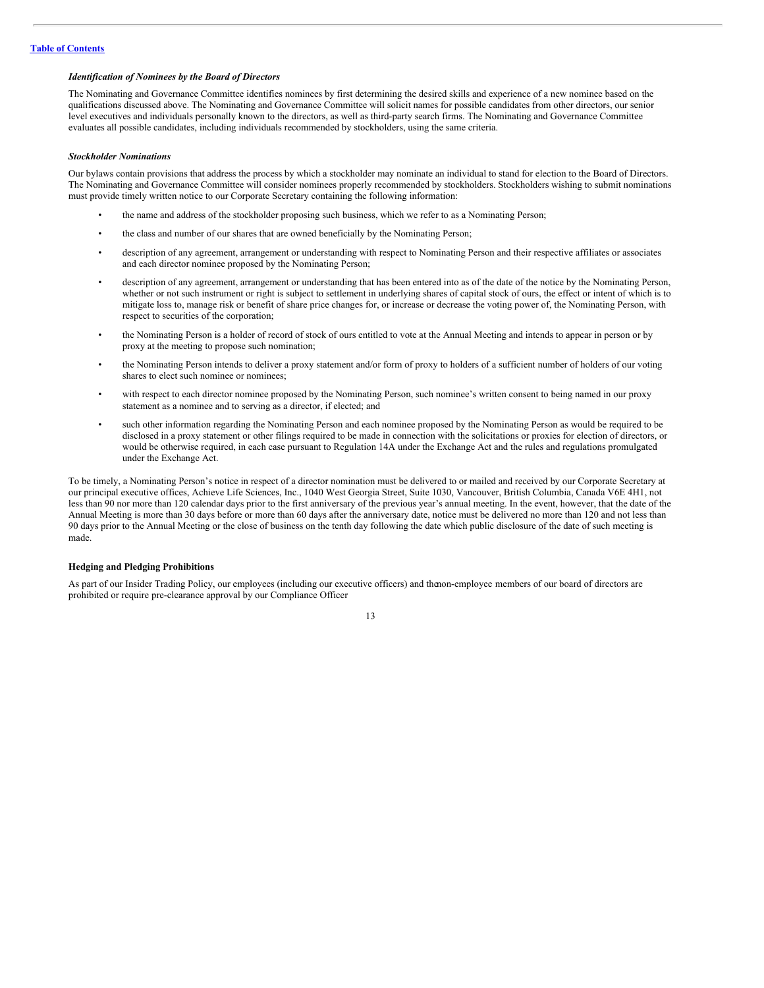# *Identification of Nominees by the Board of Directors*

The Nominating and Governance Committee identifies nominees by first determining the desired skills and experience of a new nominee based on the qualifications discussed above. The Nominating and Governance Committee will solicit names for possible candidates from other directors, our senior level executives and individuals personally known to the directors, as well as third-party search firms. The Nominating and Governance Committee evaluates all possible candidates, including individuals recommended by stockholders, using the same criteria.

#### *Stockholder Nominations*

Our bylaws contain provisions that address the process by which a stockholder may nominate an individual to stand for election to the Board of Directors. The Nominating and Governance Committee will consider nominees properly recommended by stockholders. Stockholders wishing to submit nominations must provide timely written notice to our Corporate Secretary containing the following information:

- the name and address of the stockholder proposing such business, which we refer to as a Nominating Person;
- the class and number of our shares that are owned beneficially by the Nominating Person;
- description of any agreement, arrangement or understanding with respect to Nominating Person and their respective affiliates or associates and each director nominee proposed by the Nominating Person;
- description of any agreement, arrangement or understanding that has been entered into as of the date of the notice by the Nominating Person, whether or not such instrument or right is subject to settlement in underlying shares of capital stock of ours, the effect or intent of which is to mitigate loss to, manage risk or benefit of share price changes for, or increase or decrease the voting power of, the Nominating Person, with respect to securities of the corporation;
- the Nominating Person is a holder of record of stock of ours entitled to vote at the Annual Meeting and intends to appear in person or by proxy at the meeting to propose such nomination;
- the Nominating Person intends to deliver a proxy statement and/or form of proxy to holders of a sufficient number of holders of our voting shares to elect such nominee or nominees;
- with respect to each director nominee proposed by the Nominating Person, such nominee's written consent to being named in our proxy statement as a nominee and to serving as a director, if elected; and
- such other information regarding the Nominating Person and each nominee proposed by the Nominating Person as would be required to be disclosed in a proxy statement or other filings required to be made in connection with the solicitations or proxies for election of directors, or would be otherwise required, in each case pursuant to Regulation 14A under the Exchange Act and the rules and regulations promulgated under the Exchange Act.

To be timely, a Nominating Person's notice in respect of a director nomination must be delivered to or mailed and received by our Corporate Secretary at our principal executive offices, Achieve Life Sciences, Inc., 1040 West Georgia Street, Suite 1030, Vancouver, British Columbia, Canada V6E 4H1, not less than 90 nor more than 120 calendar days prior to the first anniversary of the previous year's annual meeting. In the event, however, that the date of the Annual Meeting is more than 30 days before or more than 60 days after the anniversary date, notice must be delivered no more than 120 and not less than 90 days prior to the Annual Meeting or the close of business on the tenth day following the date which public disclosure of the date of such meeting is made.

#### **Hedging and Pledging Prohibitions**

As part of our Insider Trading Policy, our employees (including our executive officers) and thenon-employee members of our board of directors are prohibited or require pre-clearance approval by our Compliance Officer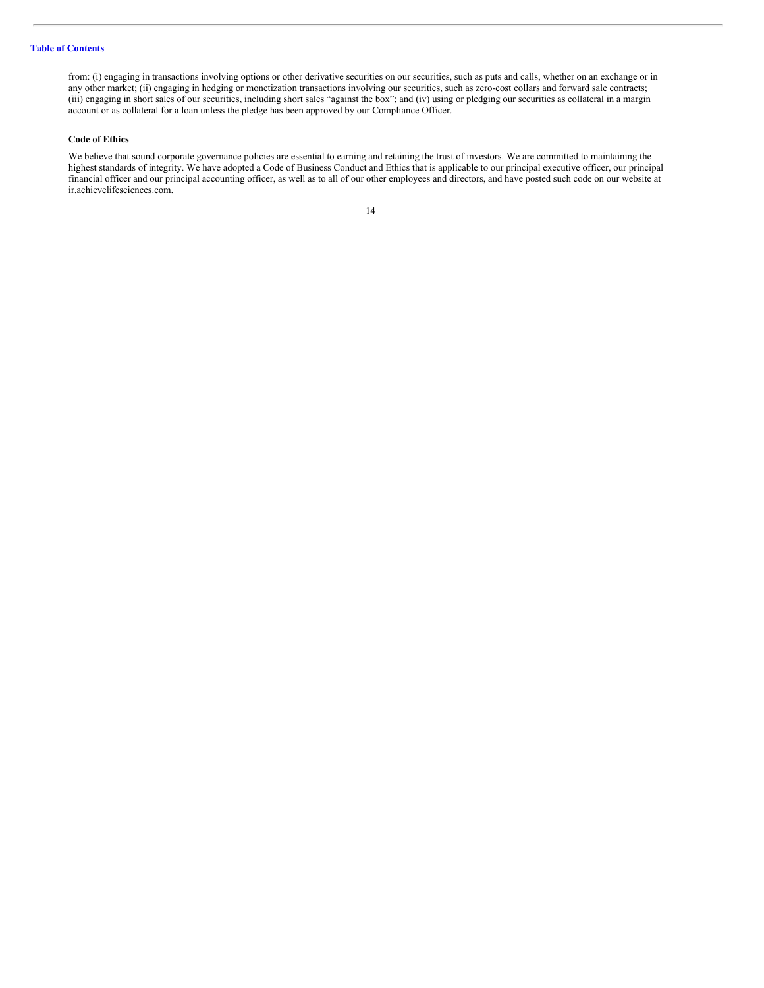from: (i) engaging in transactions involving options or other derivative securities on our securities, such as puts and calls, whether on an exchange or in any other market; (ii) engaging in hedging or monetization transactions involving our securities, such as zero-cost collars and forward sale contracts; (iii) engaging in short sales of our securities, including short sales "against the box"; and (iv) using or pledging our securities as collateral in a margin account or as collateral for a loan unless the pledge has been approved by our Compliance Officer.

# **Code of Ethics**

We believe that sound corporate governance policies are essential to earning and retaining the trust of investors. We are committed to maintaining the highest standards of integrity. We have adopted a Code of Business Conduct and Ethics that is applicable to our principal executive officer, our principal financial officer and our principal accounting officer, as well as to all of our other employees and directors, and have posted such code on our website at ir.achievelifesciences.com.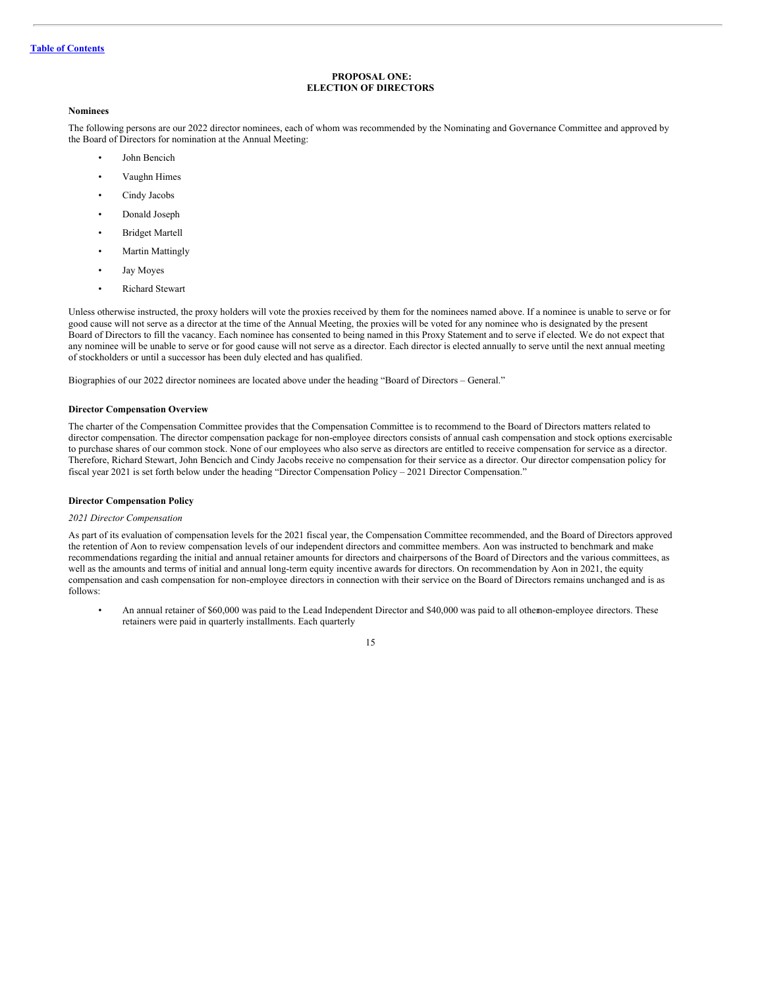# <span id="page-17-0"></span>**PROPOSAL ONE: ELECTION OF DIRECTORS**

#### **Nominees**

The following persons are our 2022 director nominees, each of whom was recommended by the Nominating and Governance Committee and approved by the Board of Directors for nomination at the Annual Meeting:

- John Bencich
- Vaughn Himes
- Cindy Jacobs
- Donald Joseph
- Bridget Martell
- **Martin Mattingly**
- Jay Moyes
- Richard Stewart

Unless otherwise instructed, the proxy holders will vote the proxies received by them for the nominees named above. If a nominee is unable to serve or for good cause will not serve as a director at the time of the Annual Meeting, the proxies will be voted for any nominee who is designated by the present Board of Directors to fill the vacancy. Each nominee has consented to being named in this Proxy Statement and to serve if elected. We do not expect that any nominee will be unable to serve or for good cause will not serve as a director. Each director is elected annually to serve until the next annual meeting of stockholders or until a successor has been duly elected and has qualified.

Biographies of our 2022 director nominees are located above under the heading "Board of Directors – General."

## **Director Compensation Overview**

The charter of the Compensation Committee provides that the Compensation Committee is to recommend to the Board of Directors matters related to director compensation. The director compensation package for non-employee directors consists of annual cash compensation and stock options exercisable to purchase shares of our common stock. None of our employees who also serve as directors are entitled to receive compensation for service as a director. Therefore, Richard Stewart, John Bencich and Cindy Jacobs receive no compensation for their service as a director. Our director compensation policy for fiscal year 2021 is set forth below under the heading "Director Compensation Policy – 2021 Director Compensation."

# **Director Compensation Policy**

#### *2021 Director Compensation*

As part of its evaluation of compensation levels for the 2021 fiscal year, the Compensation Committee recommended, and the Board of Directors approved the retention of Aon to review compensation levels of our independent directors and committee members. Aon was instructed to benchmark and make recommendations regarding the initial and annual retainer amounts for directors and chairpersons of the Board of Directors and the various committees, as well as the amounts and terms of initial and annual long-term equity incentive awards for directors. On recommendation by Aon in 2021, the equity compensation and cash compensation for non-employee directors in connection with their service on the Board of Directors remains unchanged and is as follows:

• An annual retainer of \$60,000 was paid to the Lead Independent Director and \$40,000 was paid to all othernon-employee directors. These retainers were paid in quarterly installments. Each quarterly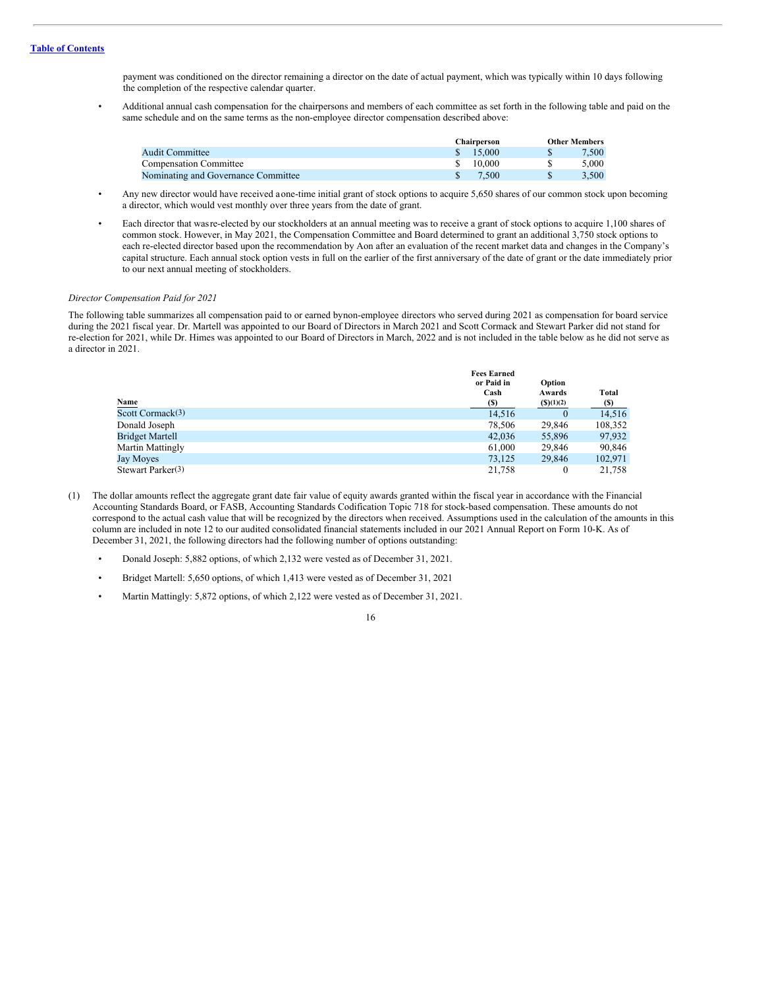payment was conditioned on the director remaining a director on the date of actual payment, which was typically within 10 days following the completion of the respective calendar quarter.

• Additional annual cash compensation for the chairpersons and members of each committee as set forth in the following table and paid on the same schedule and on the same terms as the non-employee director compensation described above:

|                                     | Chairperson | <b>Other Members</b> |
|-------------------------------------|-------------|----------------------|
| Audit Committee                     | \$15.000    | 7.500                |
| <b>Compensation Committee</b>       | 10 000      | 5.000                |
| Nominating and Governance Committee | 7.500       | 3.500                |

- Any new director would have received aone-time initial grant of stock options to acquire 5,650 shares of our common stock upon becoming a director, which would vest monthly over three years from the date of grant.
- Each director that wasre-elected by our stockholders at an annual meeting was to receive a grant of stock options to acquire 1,100 shares of common stock. However, in May 2021, the Compensation Committee and Board determined to grant an additional 3,750 stock options to each re-elected director based upon the recommendation by Aon after an evaluation of the recent market data and changes in the Company's capital structure. Each annual stock option vests in full on the earlier of the first anniversary of the date of grant or the date immediately prior to our next annual meeting of stockholders.

#### *Director Compensation Paid for 2021*

The following table summarizes all compensation paid to or earned bynon-employee directors who served during 2021 as compensation for board service during the 2021 fiscal year. Dr. Martell was appointed to our Board of Directors in March 2021 and Scott Cormack and Stewart Parker did not stand for re-election for 2021, while Dr. Himes was appointed to our Board of Directors in March, 2022 and is not included in the table below as he did not serve as a director in 2021.

|                               | <b>Fees Earned</b> |           |         |  |
|-------------------------------|--------------------|-----------|---------|--|
|                               | or Paid in         | Option    |         |  |
|                               | Cash               | Awards    | Total   |  |
| <b>Name</b>                   | (S)                | (S)(1)(2) | $(\$)$  |  |
| Scott Cormack <sup>(3)</sup>  | 14,516             | $\theta$  | 14.516  |  |
| Donald Joseph                 | 78,506             | 29,846    | 108,352 |  |
| <b>Bridget Martell</b>        | 42,036             | 55,896    | 97,932  |  |
| <b>Martin Mattingly</b>       | 61,000             | 29,846    | 90,846  |  |
| Jay Moyes                     | 73,125             | 29,846    | 102,971 |  |
| Stewart Parker <sup>(3)</sup> | 21.758             |           | 21.758  |  |

- (1) The dollar amounts reflect the aggregate grant date fair value of equity awards granted within the fiscal year in accordance with the Financial Accounting Standards Board, or FASB, Accounting Standards Codification Topic 718 for stock-based compensation. These amounts do not correspond to the actual cash value that will be recognized by the directors when received. Assumptions used in the calculation of the amounts in this column are included in note 12 to our audited consolidated financial statements included in our 2021 Annual Report on Form 10-K. As of December 31, 2021, the following directors had the following number of options outstanding:
	- Donald Joseph: 5,882 options, of which 2,132 were vested as of December 31, 2021.
	- Bridget Martell: 5,650 options, of which 1,413 were vested as of December 31, 2021
	- Martin Mattingly: 5,872 options, of which 2,122 were vested as of December 31, 2021.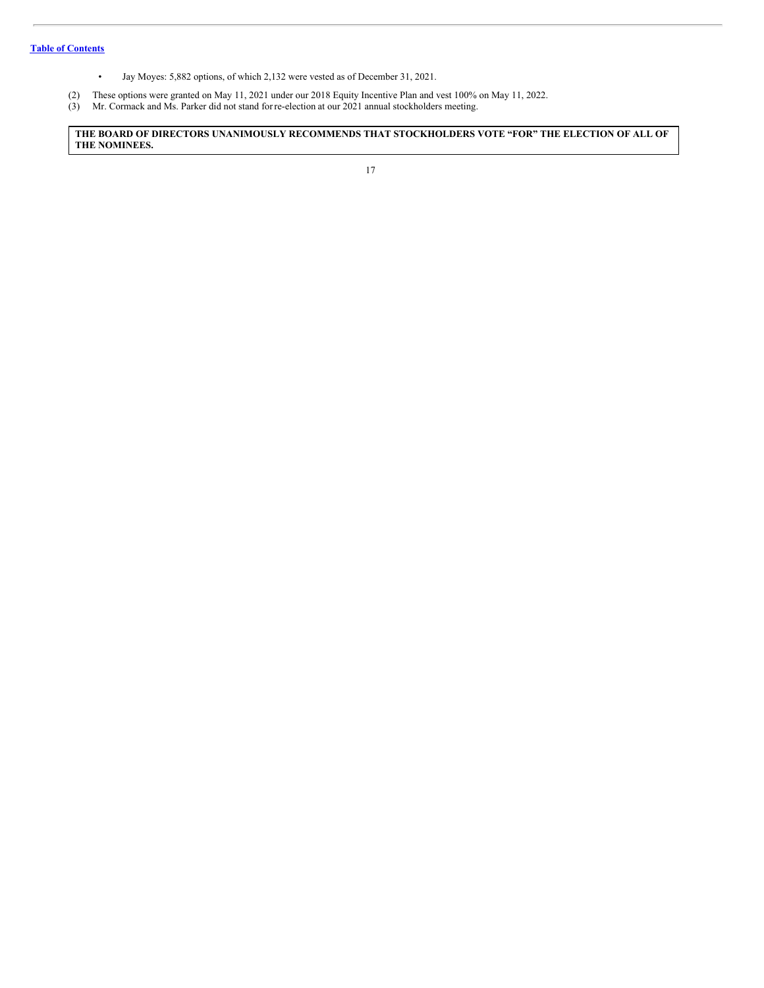- Jay Moyes: 5,882 options, of which 2,132 were vested as of December 31, 2021.
- (2) These options were granted on May 11, 2021 under our 2018 Equity Incentive Plan and vest 100% on May 11, 2022.
- (3) Mr. Cormack and Ms. Parker did not stand forre-election at our 2021 annual stockholders meeting.

**THE BOARD OF DIRECTORS UNANIMOUSLY RECOMMENDS THAT STOCKHOLDERS VOTE "FOR" THE ELECTION OF ALL OF THE NOMINEES.**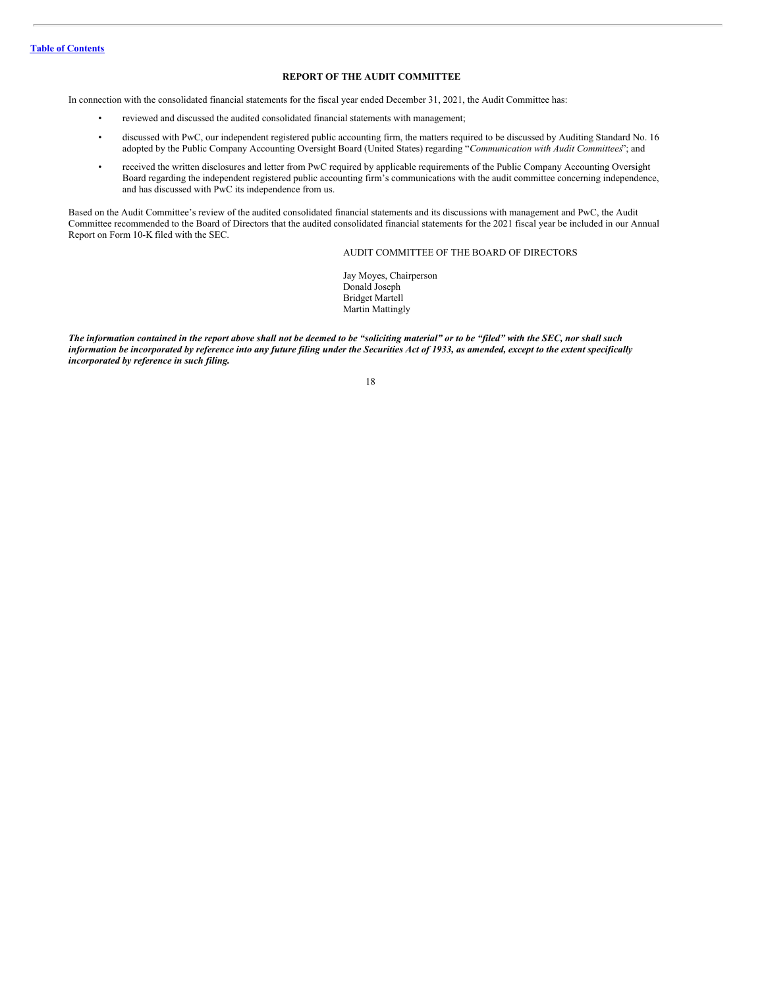# <span id="page-20-0"></span>**REPORT OF THE AUDIT COMMITTEE**

In connection with the consolidated financial statements for the fiscal year ended December 31, 2021, the Audit Committee has:

- reviewed and discussed the audited consolidated financial statements with management;
- discussed with PwC, our independent registered public accounting firm, the matters required to be discussed by Auditing Standard No. 16 adopted by the Public Company Accounting Oversight Board (United States) regarding "*Communication with Audit Committees*"; and
- received the written disclosures and letter from PwC required by applicable requirements of the Public Company Accounting Oversight Board regarding the independent registered public accounting firm's communications with the audit committee concerning independence, and has discussed with PwC its independence from us.

Based on the Audit Committee's review of the audited consolidated financial statements and its discussions with management and PwC, the Audit Committee recommended to the Board of Directors that the audited consolidated financial statements for the 2021 fiscal year be included in our Annual Report on Form 10-K filed with the SEC.

# AUDIT COMMITTEE OF THE BOARD OF DIRECTORS

Jay Moyes, Chairperson Donald Joseph Bridget Martell Martin Mattingly

The information contained in the report above shall not be deemed to be "soliciting material" or to be "filed" with the SEC, nor shall such information be incorporated by reference into any future filing under the Securities Act of 1933, as amended, except to the extent specifically *incorporated by reference in such filing.*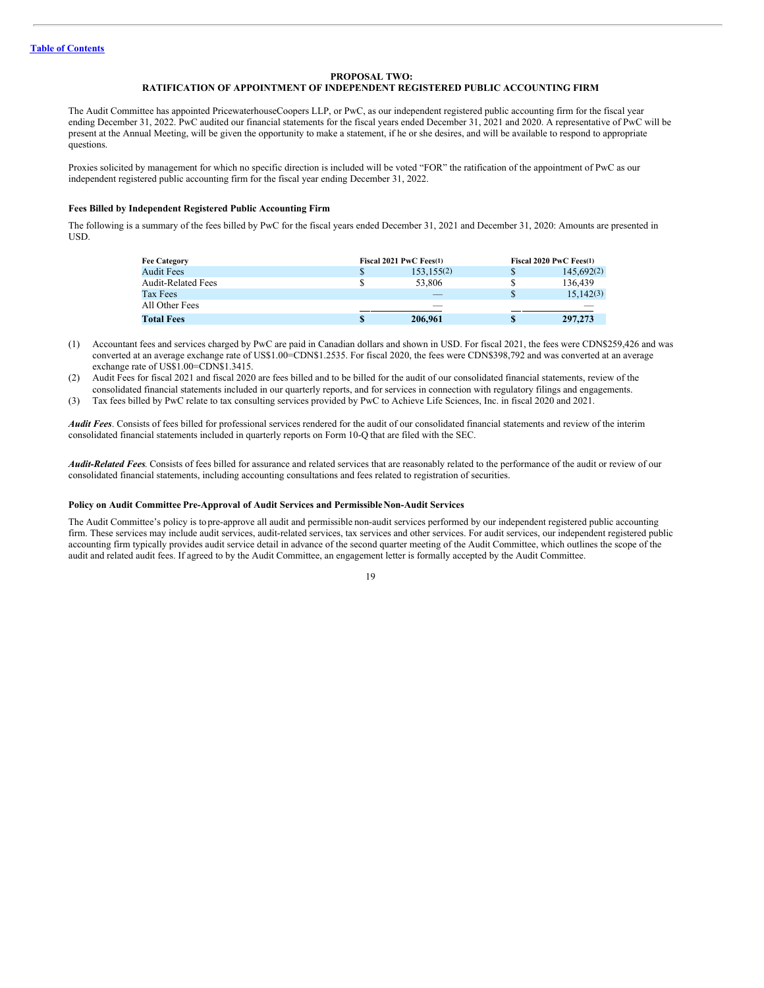### <span id="page-21-0"></span>**PROPOSAL TWO:**

### **RATIFICATION OF APPOINTMENT OF INDEPENDENT REGISTERED PUBLIC ACCOUNTING FIRM**

The Audit Committee has appointed PricewaterhouseCoopers LLP, or PwC, as our independent registered public accounting firm for the fiscal year ending December 31, 2022. PwC audited our financial statements for the fiscal years ended December 31, 2021 and 2020. A representative of PwC will be present at the Annual Meeting, will be given the opportunity to make a statement, if he or she desires, and will be available to respond to appropriate questions.

Proxies solicited by management for which no specific direction is included will be voted "FOR" the ratification of the appointment of PwC as our independent registered public accounting firm for the fiscal year ending December 31, 2022.

# **Fees Billed by Independent Registered Public Accounting Firm**

The following is a summary of the fees billed by PwC for the fiscal years ended December 31, 2021 and December 31, 2020: Amounts are presented in USD.

| <b>Fee Category</b>       | Fiscal 2021 PwC Fees(1) |            | Fiscal 2020 PwC Fees(1) |  |  |
|---------------------------|-------------------------|------------|-------------------------|--|--|
| <b>Audit Fees</b>         |                         | 153,155(2) | 145.692(2)              |  |  |
| <b>Audit-Related Fees</b> |                         | 53,806     | 136.439                 |  |  |
| Tax Fees                  |                         |            | 15.142(3)               |  |  |
| All Other Fees            |                         |            |                         |  |  |
| <b>Total Fees</b>         |                         | 206,961    | 297,273                 |  |  |

- (1) Accountant fees and services charged by PwC are paid in Canadian dollars and shown in USD. For fiscal 2021, the fees were CDN\$259,426 and was converted at an average exchange rate of US\$1.00=CDN\$1.2535. For fiscal 2020, the fees were CDN\$398,792 and was converted at an average exchange rate of US\$1.00=CDN\$1.3415.
- (2) Audit Fees for fiscal 2021 and fiscal 2020 are fees billed and to be billed for the audit of our consolidated financial statements, review of the consolidated financial statements included in our quarterly reports, and for services in connection with regulatory filings and engagements.
- (3) Tax fees billed by PwC relate to tax consulting services provided by PwC to Achieve Life Sciences, Inc. in fiscal 2020 and 2021.

*Audit Fees*. Consists of fees billed for professional services rendered for the audit of our consolidated financial statements and review of the interim consolidated financial statements included in quarterly reports on Form 10-Q that are filed with the SEC.

*Audit-Related Fees*. Consists of fees billed for assurance and related services that are reasonably related to the performance of the audit or review of our consolidated financial statements, including accounting consultations and fees related to registration of securities.

#### **Policy on Audit Committee Pre-Approval of Audit Services and PermissibleNon-Audit Services**

The Audit Committee's policy is to pre-approve all audit and permissible non-audit services performed by our independent registered public accounting firm. These services may include audit services, audit-related services, tax services and other services. For audit services, our independent registered public accounting firm typically provides audit service detail in advance of the second quarter meeting of the Audit Committee, which outlines the scope of the audit and related audit fees. If agreed to by the Audit Committee, an engagement letter is formally accepted by the Audit Committee.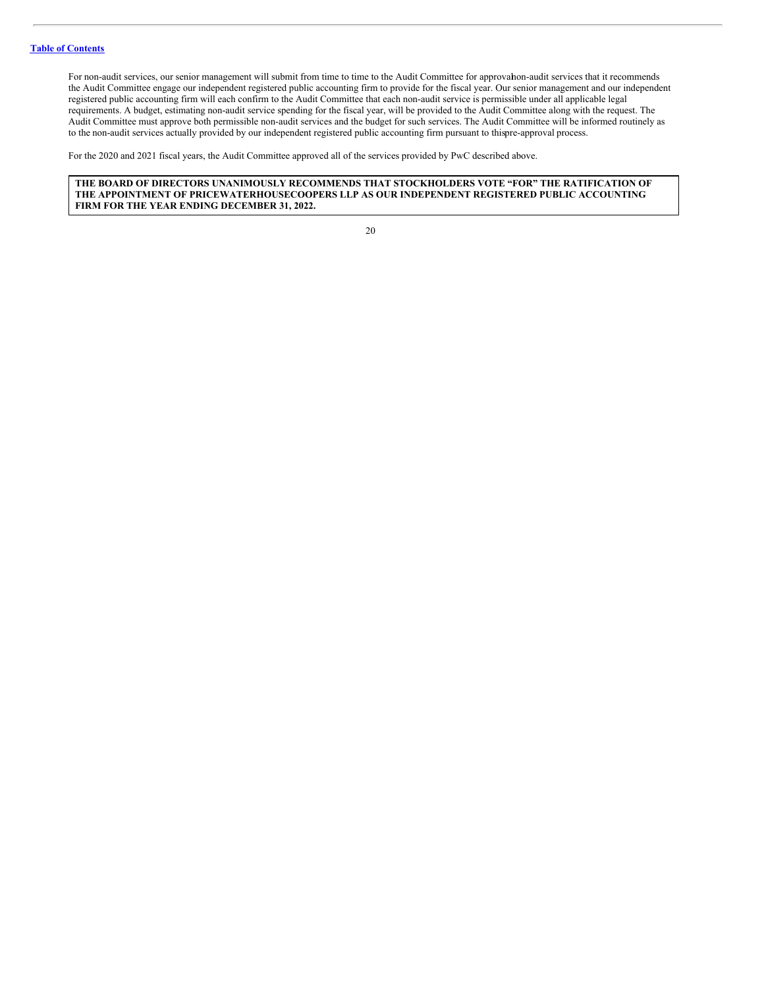For non-audit services, our senior management will submit from time to time to the Audit Committee for approvahon-audit services that it recommends the Audit Committee engage our independent registered public accounting firm to provide for the fiscal year. Our senior management and our independent registered public accounting firm will each confirm to the Audit Committee that each non-audit service is permissible under all applicable legal requirements. A budget, estimating non-audit service spending for the fiscal year, will be provided to the Audit Committee along with the request. The Audit Committee must approve both permissible non-audit services and the budget for such services. The Audit Committee will be informed routinely as to the non-audit services actually provided by our independent registered public accounting firm pursuant to thispre-approval process.

For the 2020 and 2021 fiscal years, the Audit Committee approved all of the services provided by PwC described above.

# **THE BOARD OF DIRECTORS UNANIMOUSLY RECOMMENDS THAT STOCKHOLDERS VOTE "FOR" THE RATIFICATION OF THE APPOINTMENT OF PRICEWATERHOUSECOOPERS LLP AS OUR INDEPENDENT REGISTERED PUBLIC ACCOUNTING FIRM FOR THE YEAR ENDING DECEMBER 31, 2022.**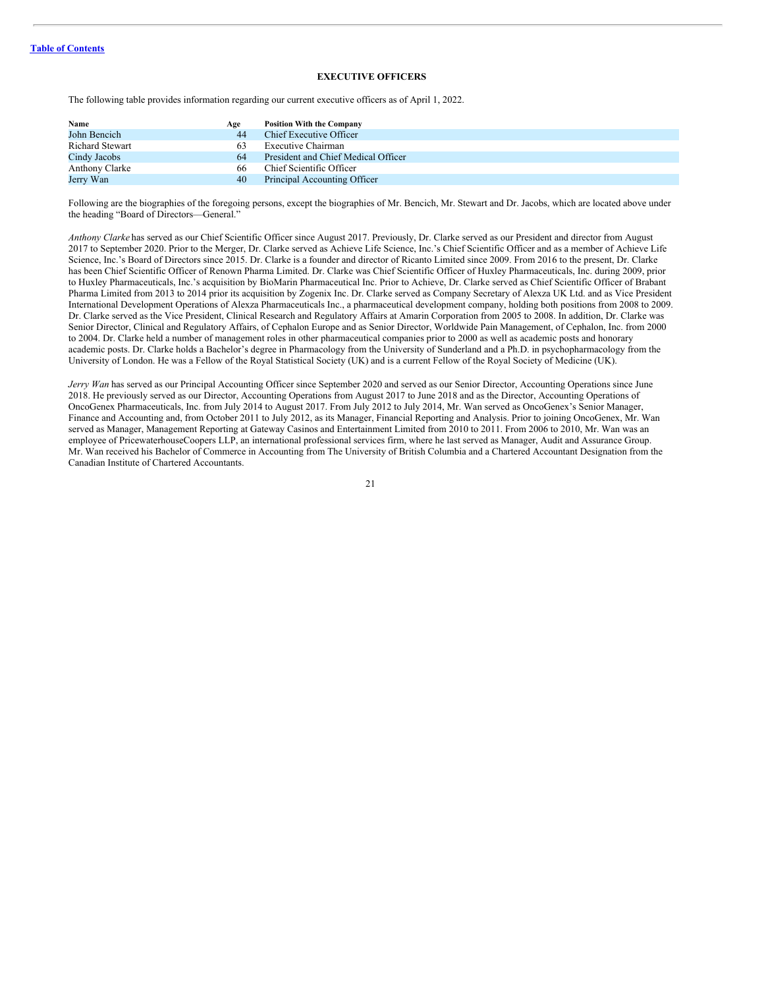# <span id="page-23-0"></span>**EXECUTIVE OFFICERS**

The following table provides information regarding our current executive officers as of April 1, 2022.

| Name                   | Age | <b>Position With the Company</b>    |
|------------------------|-----|-------------------------------------|
| John Bencich           | 44  | Chief Executive Officer             |
| <b>Richard Stewart</b> |     | Executive Chairman                  |
| Cindy Jacobs           | 64  | President and Chief Medical Officer |
| Anthony Clarke         | 66  | Chief Scientific Officer            |
| Jerry Wan              | 40  | Principal Accounting Officer        |

Following are the biographies of the foregoing persons, except the biographies of Mr. Bencich, Mr. Stewart and Dr. Jacobs, which are located above under the heading "Board of Directors—General."

*Anthony Clarke* has served as our Chief Scientific Officer since August 2017. Previously, Dr. Clarke served as our President and director from August 2017 to September 2020. Prior to the Merger, Dr. Clarke served as Achieve Life Science, Inc.'s Chief Scientific Officer and as a member of Achieve Life Science, Inc.'s Board of Directors since 2015. Dr. Clarke is a founder and director of Ricanto Limited since 2009. From 2016 to the present, Dr. Clarke has been Chief Scientific Officer of Renown Pharma Limited. Dr. Clarke was Chief Scientific Officer of Huxley Pharmaceuticals, Inc. during 2009, prior to Huxley Pharmaceuticals, Inc.'s acquisition by BioMarin Pharmaceutical Inc. Prior to Achieve, Dr. Clarke served as Chief Scientific Officer of Brabant Pharma Limited from 2013 to 2014 prior its acquisition by Zogenix Inc. Dr. Clarke served as Company Secretary of Alexza UK Ltd. and as Vice President International Development Operations of Alexza Pharmaceuticals Inc., a pharmaceutical development company, holding both positions from 2008 to 2009. Dr. Clarke served as the Vice President, Clinical Research and Regulatory Affairs at Amarin Corporation from 2005 to 2008. In addition, Dr. Clarke was Senior Director, Clinical and Regulatory Affairs, of Cephalon Europe and as Senior Director, Worldwide Pain Management, of Cephalon, Inc. from 2000 to 2004. Dr. Clarke held a number of management roles in other pharmaceutical companies prior to 2000 as well as academic posts and honorary academic posts. Dr. Clarke holds a Bachelor's degree in Pharmacology from the University of Sunderland and a Ph.D. in psychopharmacology from the University of London. He was a Fellow of the Royal Statistical Society (UK) and is a current Fellow of the Royal Society of Medicine (UK).

*Jerry Wan* has served as our Principal Accounting Officer since September 2020 and served as our Senior Director, Accounting Operations since June 2018. He previously served as our Director, Accounting Operations from August 2017 to June 2018 and as the Director, Accounting Operations of OncoGenex Pharmaceuticals, Inc. from July 2014 to August 2017. From July 2012 to July 2014, Mr. Wan served as OncoGenex's Senior Manager, Finance and Accounting and, from October 2011 to July 2012, as its Manager, Financial Reporting and Analysis. Prior to joining OncoGenex, Mr. Wan served as Manager, Management Reporting at Gateway Casinos and Entertainment Limited from 2010 to 2011. From 2006 to 2010, Mr. Wan was an employee of PricewaterhouseCoopers LLP, an international professional services firm, where he last served as Manager, Audit and Assurance Group. Mr. Wan received his Bachelor of Commerce in Accounting from The University of British Columbia and a Chartered Accountant Designation from the Canadian Institute of Chartered Accountants.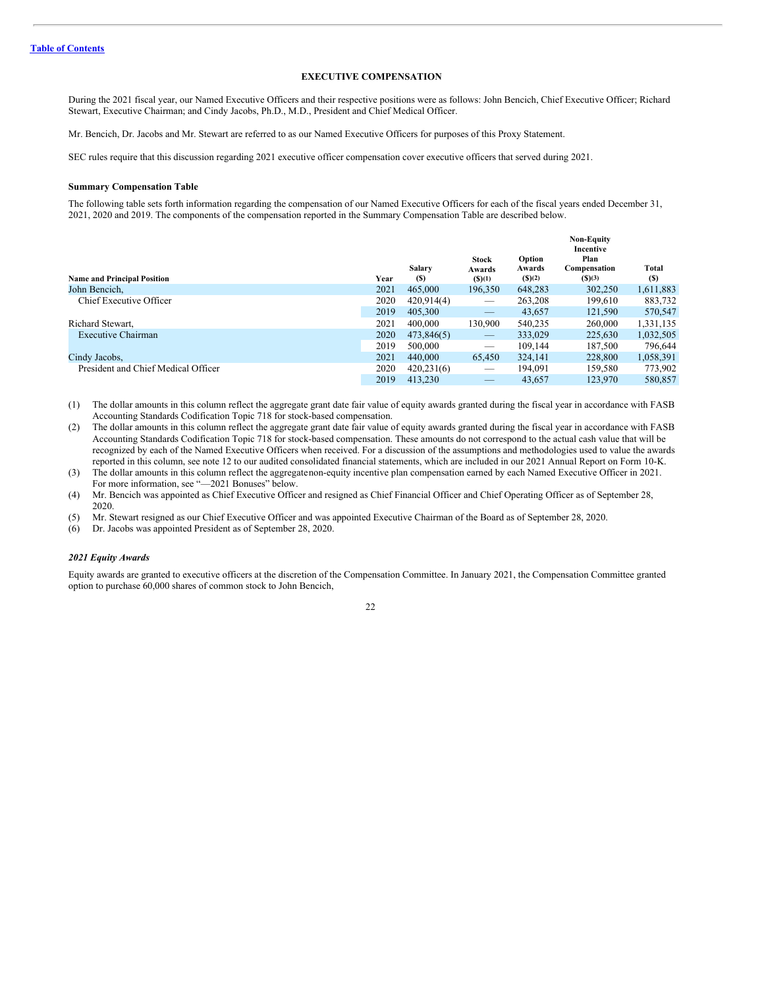# <span id="page-24-0"></span>**EXECUTIVE COMPENSATION**

During the 2021 fiscal year, our Named Executive Officers and their respective positions were as follows: John Bencich, Chief Executive Officer; Richard Stewart, Executive Chairman; and Cindy Jacobs, Ph.D., M.D., President and Chief Medical Officer.

Mr. Bencich, Dr. Jacobs and Mr. Stewart are referred to as our Named Executive Officers for purposes of this Proxy Statement.

SEC rules require that this discussion regarding 2021 executive officer compensation cover executive officers that served during 2021.

#### **Summary Compensation Table**

The following table sets forth information regarding the compensation of our Named Executive Officers for each of the fiscal years ended December 31, 2021, 2020 and 2019. The components of the compensation reported in the Summary Compensation Table are described below.

| Incentive                                                                                                                                                       |                     |
|-----------------------------------------------------------------------------------------------------------------------------------------------------------------|---------------------|
| Plan<br>Option<br><b>Stock</b><br>Salary<br>Compensation<br>Awards<br>Awards<br>(S)(2)<br>(S)(3)<br><b>Name and Principal Position</b><br>Year<br>(S)<br>(S)(1) | Total<br><b>(S)</b> |
| John Bencich,<br>2021<br>465,000<br>196,350<br>302,250<br>648.283                                                                                               | 1,611,883           |
| 2020<br>Chief Executive Officer<br>263,208<br>420.914(4)<br>199.610                                                                                             | 883,732             |
| 2019<br>121,590<br>405,300<br>43.657                                                                                                                            | 570,547             |
| 2021<br>130,900<br>540.235<br>260,000<br>Richard Stewart,<br>400,000                                                                                            | 1,331,135           |
| 2020<br><b>Executive Chairman</b><br>333,029<br>225,630<br>473,846(5)<br>$\qquad \qquad -$                                                                      | 1,032,505           |
| 2019<br>109.144<br>500,000<br>187,500<br>$\overbrace{\phantom{12333}}$                                                                                          | 796,644             |
| 324,141<br>2021<br>65,450<br>Cindy Jacobs,<br>440,000<br>228,800                                                                                                | 1,058,391           |
| President and Chief Medical Officer<br>2020<br>420,231(6)<br>194.091<br>159.580<br>$\overline{\phantom{a}}$                                                     | 773,902             |
| 2019<br>123,970<br>413.230<br>43.657<br>_                                                                                                                       | 580,857             |

(1) The dollar amounts in this column reflect the aggregate grant date fair value of equity awards granted during the fiscal year in accordance with FASB Accounting Standards Codification Topic 718 for stock-based compensation.

(2) The dollar amounts in this column reflect the aggregate grant date fair value of equity awards granted during the fiscal year in accordance with FASB Accounting Standards Codification Topic 718 for stock-based compensation. These amounts do not correspond to the actual cash value that will be recognized by each of the Named Executive Officers when received. For a discussion of the assumptions and methodologies used to value the awards reported in this column, see note 12 to our audited consolidated financial statements, which are included in our 2021 Annual Report on Form 10-K.

(3) The dollar amounts in this column reflect the aggregatenon-equity incentive plan compensation earned by each Named Executive Officer in 2021. For more information, see "—2021 Bonuses" below.

(4) Mr. Bencich was appointed as Chief Executive Officer and resigned as Chief Financial Officer and Chief Operating Officer as of September 28, 2020.

(5) Mr. Stewart resigned as our Chief Executive Officer and was appointed Executive Chairman of the Board as of September 28, 2020.

(6) Dr. Jacobs was appointed President as of September 28, 2020.

#### *2021 Equity Awards*

Equity awards are granted to executive officers at the discretion of the Compensation Committee. In January 2021, the Compensation Committee granted option to purchase 60,000 shares of common stock to John Bencich,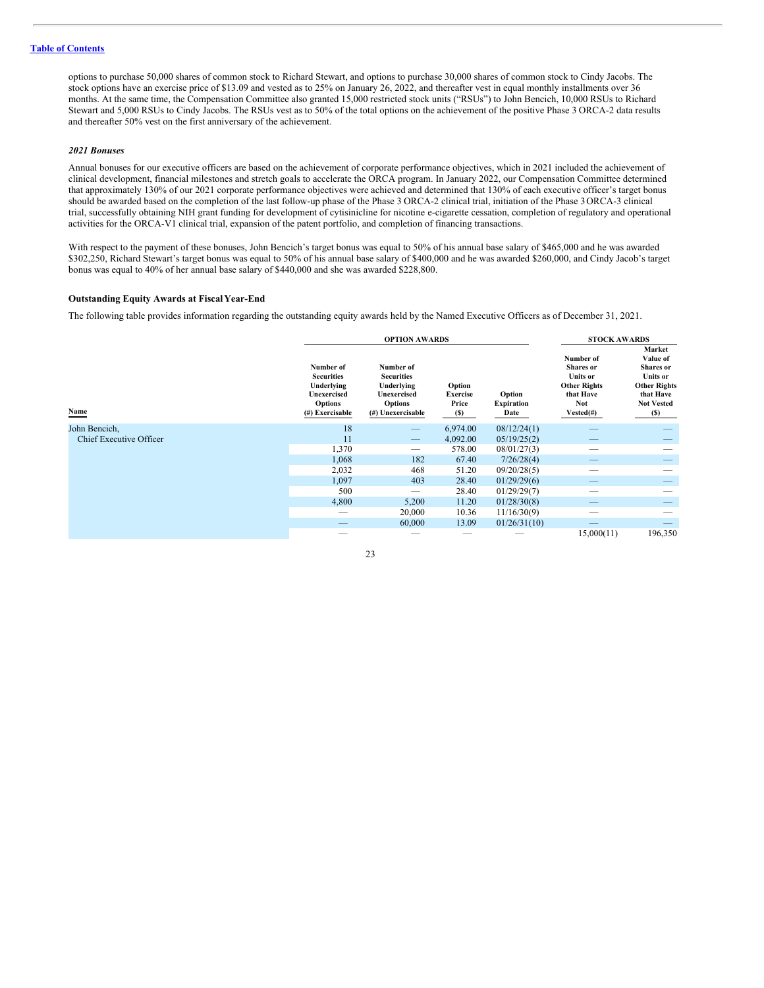options to purchase 50,000 shares of common stock to Richard Stewart, and options to purchase 30,000 shares of common stock to Cindy Jacobs. The stock options have an exercise price of \$13.09 and vested as to 25% on January 26, 2022, and thereafter vest in equal monthly installments over 36 months. At the same time, the Compensation Committee also granted 15,000 restricted stock units ("RSUs") to John Bencich, 10,000 RSUs to Richard Stewart and 5,000 RSUs to Cindy Jacobs. The RSUs vest as to 50% of the total options on the achievement of the positive Phase 3 ORCA-2 data results and thereafter 50% vest on the first anniversary of the achievement.

# *2021 Bonuses*

Annual bonuses for our executive officers are based on the achievement of corporate performance objectives, which in 2021 included the achievement of clinical development, financial milestones and stretch goals to accelerate the ORCA program. In January 2022, our Compensation Committee determined that approximately 130% of our 2021 corporate performance objectives were achieved and determined that 130% of each executive officer's target bonus should be awarded based on the completion of the last follow-up phase of the Phase 3 ORCA-2 clinical trial, initiation of the Phase 3ORCA-3 clinical trial, successfully obtaining NIH grant funding for development of cytisinicline for nicotine e-cigarette cessation, completion of regulatory and operational activities for the ORCA-V1 clinical trial, expansion of the patent portfolio, and completion of financing transactions.

With respect to the payment of these bonuses, John Bencich's target bonus was equal to 50% of his annual base salary of \$465,000 and he was awarded \$302,250, Richard Stewart's target bonus was equal to 50% of his annual base salary of \$400,000 and he was awarded \$260,000, and Cindy Jacob's target bonus was equal to 40% of her annual base salary of \$440,000 and she was awarded \$228,800.

## **Outstanding Equity Awards at FiscalYear-End**

The following table provides information regarding the outstanding equity awards held by the Named Executive Officers as of December 31, 2021.

|                                |                                                                                                  | <b>OPTION AWARDS</b>                                                                               |                                    |                                     | <b>STOCK AWARDS</b>                                                                                         |                                                                                                                           |  |
|--------------------------------|--------------------------------------------------------------------------------------------------|----------------------------------------------------------------------------------------------------|------------------------------------|-------------------------------------|-------------------------------------------------------------------------------------------------------------|---------------------------------------------------------------------------------------------------------------------------|--|
| Name                           | Number of<br><b>Securities</b><br>Underlying<br>Unexercised<br><b>Options</b><br>(#) Exercisable | Number of<br><b>Securities</b><br>Underlying<br>Unexercised<br><b>Options</b><br>(#) Unexercisable | Option<br>Exercise<br>Price<br>(S) | Option<br><b>Expiration</b><br>Date | Number of<br>Shares or<br><b>Units or</b><br><b>Other Rights</b><br>that Have<br><b>Not</b><br>$Vested(\#)$ | Market<br>Value of<br><b>Shares</b> or<br><b>Units or</b><br><b>Other Rights</b><br>that Have<br><b>Not Vested</b><br>(S) |  |
| John Bencich,                  | 18                                                                                               | $\hspace{0.05cm}$                                                                                  | 6,974.00                           | 08/12/24(1)                         |                                                                                                             |                                                                                                                           |  |
| <b>Chief Executive Officer</b> | 11                                                                                               | $\hspace{0.1mm}-\hspace{0.1mm}$                                                                    | 4,092.00                           | 05/19/25(2)                         |                                                                                                             |                                                                                                                           |  |
|                                | 1,370                                                                                            | $\hspace{0.1mm}-\hspace{0.1mm}$                                                                    | 578.00                             | 08/01/27(3)                         | --                                                                                                          |                                                                                                                           |  |
|                                | 1,068                                                                                            | 182                                                                                                | 67.40                              | 7/26/28(4)                          |                                                                                                             |                                                                                                                           |  |
|                                | 2,032                                                                                            | 468                                                                                                | 51.20                              | 09/20/28(5)                         | --                                                                                                          |                                                                                                                           |  |
|                                | 1,097                                                                                            | 403                                                                                                | 28.40                              | 01/29/29(6)                         | __                                                                                                          |                                                                                                                           |  |
|                                | 500                                                                                              | $\hspace{0.05cm}$                                                                                  | 28.40                              | 01/29/29(7)                         | --                                                                                                          |                                                                                                                           |  |
|                                | 4,800                                                                                            | 5,200                                                                                              | 11.20                              | 01/28/30(8)                         |                                                                                                             |                                                                                                                           |  |
|                                |                                                                                                  | 20,000                                                                                             | 10.36                              | 11/16/30(9)                         | --                                                                                                          |                                                                                                                           |  |
|                                |                                                                                                  | 60,000                                                                                             | 13.09                              | 01/26/31(10)                        |                                                                                                             |                                                                                                                           |  |
|                                |                                                                                                  |                                                                                                    |                                    |                                     | 15,000(11)                                                                                                  | 196,350                                                                                                                   |  |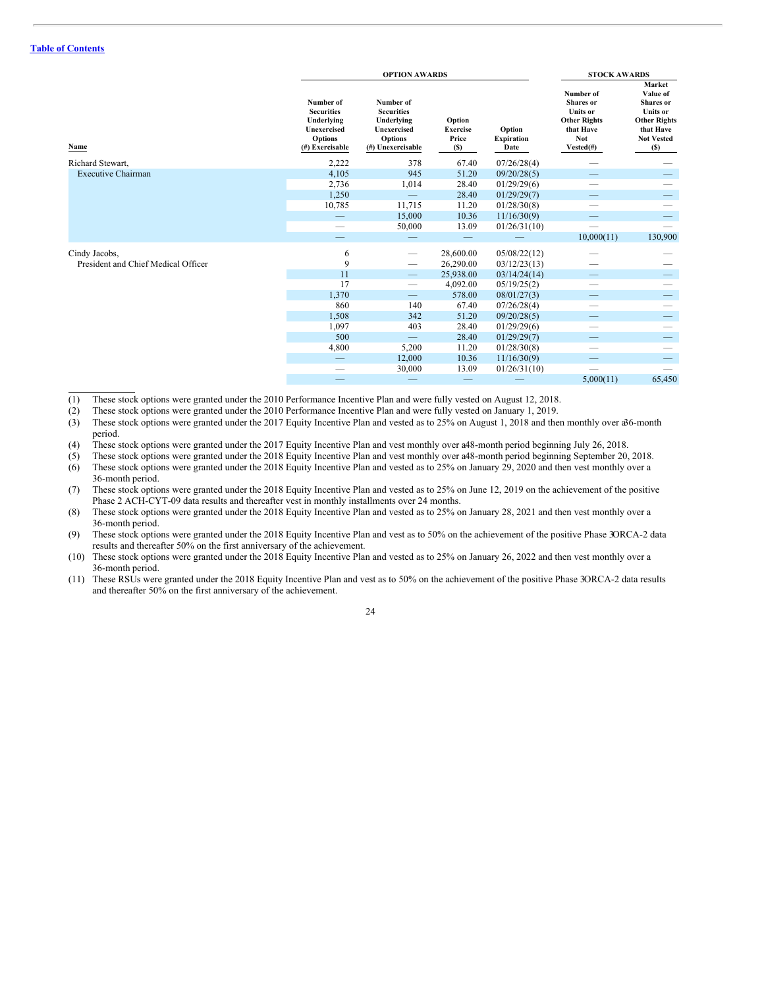|                                                      |                                                                                                  | <b>OPTION AWARDS</b>                                                                               | <b>STOCK AWARDS</b>                       |                                     |                                                                                                          |                                                                                                                           |
|------------------------------------------------------|--------------------------------------------------------------------------------------------------|----------------------------------------------------------------------------------------------------|-------------------------------------------|-------------------------------------|----------------------------------------------------------------------------------------------------------|---------------------------------------------------------------------------------------------------------------------------|
| Name                                                 | Number of<br><b>Securities</b><br>Underlying<br>Unexercised<br><b>Options</b><br>(#) Exercisable | Number of<br><b>Securities</b><br>Underlying<br>Unexercised<br><b>Options</b><br>(#) Unexercisable | Option<br><b>Exercise</b><br>Price<br>(S) | Option<br><b>Expiration</b><br>Date | Number of<br>Shares or<br><b>Units or</b><br><b>Other Rights</b><br>that Have<br><b>Not</b><br>Vested(#) | Market<br>Value of<br><b>Shares</b> or<br><b>Units or</b><br><b>Other Rights</b><br>that Have<br><b>Not Vested</b><br>(S) |
| Richard Stewart,                                     | 2,222                                                                                            | 378                                                                                                | 67.40                                     | 07/26/28(4)                         |                                                                                                          |                                                                                                                           |
| <b>Executive Chairman</b>                            | 4,105                                                                                            | 945                                                                                                | 51.20                                     | 09/20/28(5)                         |                                                                                                          |                                                                                                                           |
|                                                      | 2,736                                                                                            | 1,014                                                                                              | 28.40                                     | 01/29/29(6)                         |                                                                                                          |                                                                                                                           |
|                                                      | 1,250                                                                                            |                                                                                                    | 28.40                                     | 01/29/29(7)                         | —                                                                                                        |                                                                                                                           |
|                                                      | 10,785                                                                                           | 11,715                                                                                             | 11.20                                     | 01/28/30(8)                         |                                                                                                          |                                                                                                                           |
|                                                      | $\overline{\phantom{m}}$                                                                         | 15,000                                                                                             | 10.36                                     | 11/16/30(9)                         |                                                                                                          |                                                                                                                           |
|                                                      |                                                                                                  | 50,000                                                                                             | 13.09                                     | 01/26/31(10)                        | $\overline{\phantom{0}}$                                                                                 |                                                                                                                           |
|                                                      |                                                                                                  |                                                                                                    |                                           |                                     | 10,000(11)                                                                                               | 130,900                                                                                                                   |
| Cindy Jacobs,<br>President and Chief Medical Officer | 6<br>9                                                                                           | $\qquad \qquad$<br>$\qquad \qquad$                                                                 | 28,600.00<br>26,290.00                    | 05/08/22(12)<br>03/12/23(13)        |                                                                                                          |                                                                                                                           |
|                                                      | 11                                                                                               | $\hspace{0.1mm}-\hspace{0.1mm}$                                                                    | 25,938.00                                 | 03/14/24(14)                        |                                                                                                          |                                                                                                                           |
|                                                      | 17                                                                                               | $\overline{\phantom{0}}$                                                                           | 4,092.00                                  | 05/19/25(2)                         |                                                                                                          |                                                                                                                           |
|                                                      | 1,370                                                                                            | $\equiv$                                                                                           | 578.00                                    | 08/01/27(3)                         |                                                                                                          |                                                                                                                           |
|                                                      | 860                                                                                              | 140                                                                                                | 67.40                                     | 07/26/28(4)                         |                                                                                                          |                                                                                                                           |
|                                                      | 1,508                                                                                            | 342                                                                                                | 51.20                                     | 09/20/28(5)                         |                                                                                                          |                                                                                                                           |
|                                                      | 1,097                                                                                            | 403                                                                                                | 28.40                                     | 01/29/29(6)                         | --                                                                                                       |                                                                                                                           |
|                                                      | 500                                                                                              |                                                                                                    | 28.40                                     | 01/29/29(7)                         |                                                                                                          |                                                                                                                           |
|                                                      | 4,800                                                                                            | 5,200                                                                                              | 11.20                                     | 01/28/30(8)                         |                                                                                                          |                                                                                                                           |
|                                                      |                                                                                                  | 12,000                                                                                             | 10.36                                     | 11/16/30(9)                         |                                                                                                          |                                                                                                                           |
|                                                      |                                                                                                  | 30,000                                                                                             | 13.09                                     | 01/26/31(10)                        |                                                                                                          |                                                                                                                           |
|                                                      |                                                                                                  |                                                                                                    |                                           |                                     | 5,000(11)                                                                                                | 65,450                                                                                                                    |

(1) These stock options were granted under the 2010 Performance Incentive Plan and were fully vested on August 12, 2018.

(2) These stock options were granted under the 2010 Performance Incentive Plan and were fully vested on January 1, 2019.

(3) These stock options were granted under the 2017 Equity Incentive Plan and vested as to 25% on August 1, 2018 and then monthly over a36-month period.

(4) These stock options were granted under the 2017 Equity Incentive Plan and vest monthly over a48-month period beginning July 26, 2018.

(5) These stock options were granted under the 2018 Equity Incentive Plan and vest monthly over a48-month period beginning September 20, 2018.

(6) These stock options were granted under the 2018 Equity Incentive Plan and vested as to 25% on January 29, 2020 and then vest monthly over a 36-month period.

(7) These stock options were granted under the 2018 Equity Incentive Plan and vested as to 25% on June 12, 2019 on the achievement of the positive Phase 2 ACH-CYT-09 data results and thereafter vest in monthly installments over 24 months.

(8) These stock options were granted under the 2018 Equity Incentive Plan and vested as to 25% on January 28, 2021 and then vest monthly over a 36-month period.

(9) These stock options were granted under the 2018 Equity Incentive Plan and vest as to 50% on the achievement of the positive Phase 3ORCA-2 data results and thereafter 50% on the first anniversary of the achievement.

- (10) These stock options were granted under the 2018 Equity Incentive Plan and vested as to 25% on January 26, 2022 and then vest monthly over a 36-month period.
- (11) These RSUs were granted under the 2018 Equity Incentive Plan and vest as to 50% on the achievement of the positive Phase 3ORCA-2 data results and thereafter 50% on the first anniversary of the achievement.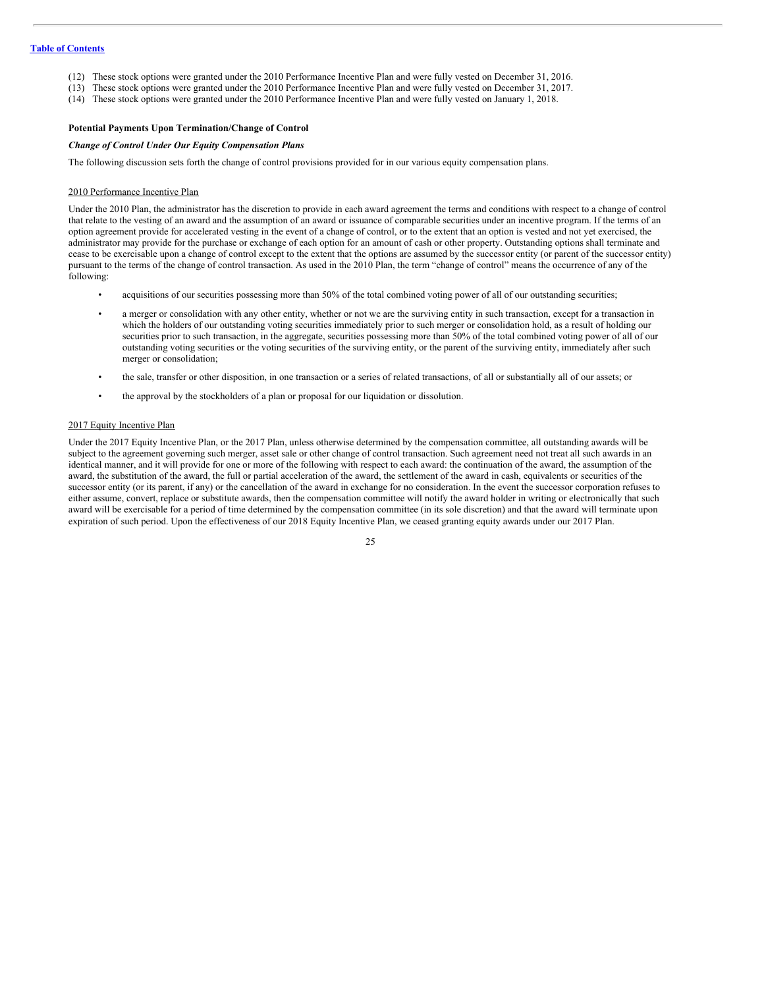- (12) These stock options were granted under the 2010 Performance Incentive Plan and were fully vested on December 31, 2016.
- (13) These stock options were granted under the 2010 Performance Incentive Plan and were fully vested on December 31, 2017.
- (14) These stock options were granted under the 2010 Performance Incentive Plan and were fully vested on January 1, 2018.

### **Potential Payments Upon Termination/Change of Control**

# *Change of Control Under Our Equity Compensation Plans*

The following discussion sets forth the change of control provisions provided for in our various equity compensation plans.

### 2010 Performance Incentive Plan

Under the 2010 Plan, the administrator has the discretion to provide in each award agreement the terms and conditions with respect to a change of control that relate to the vesting of an award and the assumption of an award or issuance of comparable securities under an incentive program. If the terms of an option agreement provide for accelerated vesting in the event of a change of control, or to the extent that an option is vested and not yet exercised, the administrator may provide for the purchase or exchange of each option for an amount of cash or other property. Outstanding options shall terminate and cease to be exercisable upon a change of control except to the extent that the options are assumed by the successor entity (or parent of the successor entity) pursuant to the terms of the change of control transaction. As used in the 2010 Plan, the term "change of control" means the occurrence of any of the following:

- acquisitions of our securities possessing more than 50% of the total combined voting power of all of our outstanding securities;
- a merger or consolidation with any other entity, whether or not we are the surviving entity in such transaction, except for a transaction in which the holders of our outstanding voting securities immediately prior to such merger or consolidation hold, as a result of holding our securities prior to such transaction, in the aggregate, securities possessing more than 50% of the total combined voting power of all of our outstanding voting securities or the voting securities of the surviving entity, or the parent of the surviving entity, immediately after such merger or consolidation;
- the sale, transfer or other disposition, in one transaction or a series of related transactions, of all or substantially all of our assets; or
- the approval by the stockholders of a plan or proposal for our liquidation or dissolution.

### 2017 Equity Incentive Plan

Under the 2017 Equity Incentive Plan, or the 2017 Plan, unless otherwise determined by the compensation committee, all outstanding awards will be subject to the agreement governing such merger, asset sale or other change of control transaction. Such agreement need not treat all such awards in an identical manner, and it will provide for one or more of the following with respect to each award: the continuation of the award, the assumption of the award, the substitution of the award, the full or partial acceleration of the award, the settlement of the award in cash, equivalents or securities of the successor entity (or its parent, if any) or the cancellation of the award in exchange for no consideration. In the event the successor corporation refuses to either assume, convert, replace or substitute awards, then the compensation committee will notify the award holder in writing or electronically that such award will be exercisable for a period of time determined by the compensation committee (in its sole discretion) and that the award will terminate upon expiration of such period. Upon the effectiveness of our 2018 Equity Incentive Plan, we ceased granting equity awards under our 2017 Plan.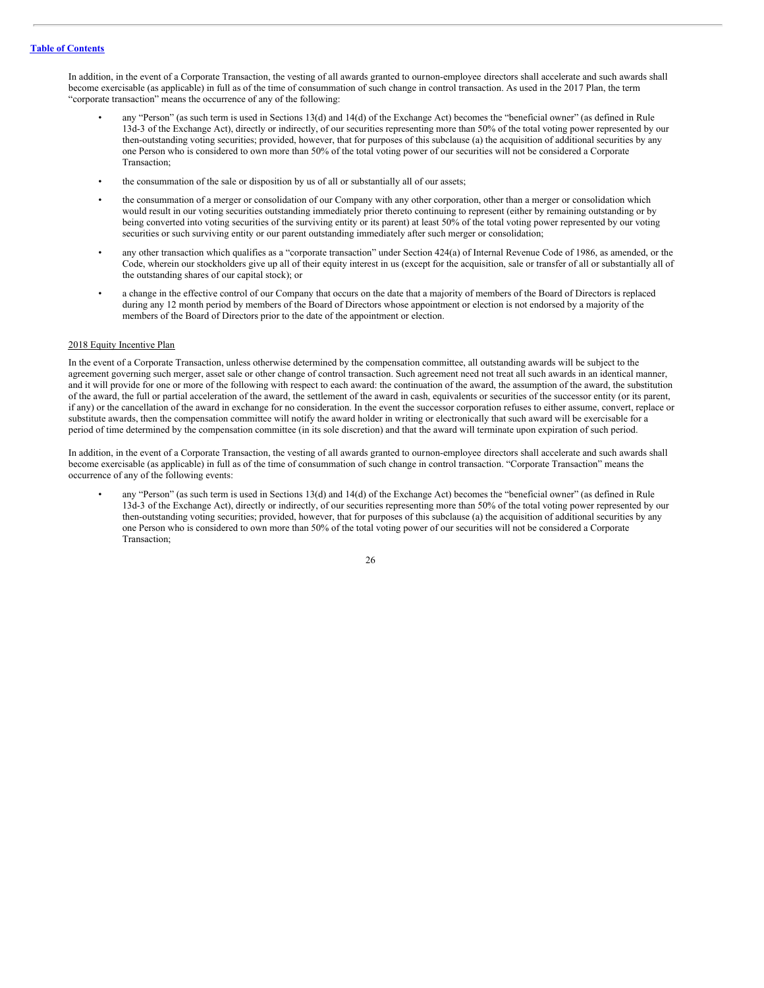In addition, in the event of a Corporate Transaction, the vesting of all awards granted to ournon-employee directors shall accelerate and such awards shall become exercisable (as applicable) in full as of the time of consummation of such change in control transaction. As used in the 2017 Plan, the term "corporate transaction" means the occurrence of any of the following:

- any "Person" (as such term is used in Sections 13(d) and 14(d) of the Exchange Act) becomes the "beneficial owner" (as defined in Rule 13d-3 of the Exchange Act), directly or indirectly, of our securities representing more than 50% of the total voting power represented by our then-outstanding voting securities; provided, however, that for purposes of this subclause (a) the acquisition of additional securities by any one Person who is considered to own more than 50% of the total voting power of our securities will not be considered a Corporate Transaction;
- the consummation of the sale or disposition by us of all or substantially all of our assets;
- the consummation of a merger or consolidation of our Company with any other corporation, other than a merger or consolidation which would result in our voting securities outstanding immediately prior thereto continuing to represent (either by remaining outstanding or by being converted into voting securities of the surviving entity or its parent) at least 50% of the total voting power represented by our voting securities or such surviving entity or our parent outstanding immediately after such merger or consolidation;
- any other transaction which qualifies as a "corporate transaction" under Section 424(a) of Internal Revenue Code of 1986, as amended, or the Code, wherein our stockholders give up all of their equity interest in us (except for the acquisition, sale or transfer of all or substantially all of the outstanding shares of our capital stock); or
- a change in the effective control of our Company that occurs on the date that a majority of members of the Board of Directors is replaced during any 12 month period by members of the Board of Directors whose appointment or election is not endorsed by a majority of the members of the Board of Directors prior to the date of the appointment or election.

#### 2018 Equity Incentive Plan

In the event of a Corporate Transaction, unless otherwise determined by the compensation committee, all outstanding awards will be subject to the agreement governing such merger, asset sale or other change of control transaction. Such agreement need not treat all such awards in an identical manner, and it will provide for one or more of the following with respect to each award: the continuation of the award, the assumption of the award, the substitution of the award, the full or partial acceleration of the award, the settlement of the award in cash, equivalents or securities of the successor entity (or its parent, if any) or the cancellation of the award in exchange for no consideration. In the event the successor corporation refuses to either assume, convert, replace or substitute awards, then the compensation committee will notify the award holder in writing or electronically that such award will be exercisable for a period of time determined by the compensation committee (in its sole discretion) and that the award will terminate upon expiration of such period.

In addition, in the event of a Corporate Transaction, the vesting of all awards granted to ournon-employee directors shall accelerate and such awards shall become exercisable (as applicable) in full as of the time of consummation of such change in control transaction. "Corporate Transaction" means the occurrence of any of the following events:

• any "Person" (as such term is used in Sections 13(d) and 14(d) of the Exchange Act) becomes the "beneficial owner" (as defined in Rule 13d-3 of the Exchange Act), directly or indirectly, of our securities representing more than 50% of the total voting power represented by our then-outstanding voting securities; provided, however, that for purposes of this subclause (a) the acquisition of additional securities by any one Person who is considered to own more than 50% of the total voting power of our securities will not be considered a Corporate Transaction;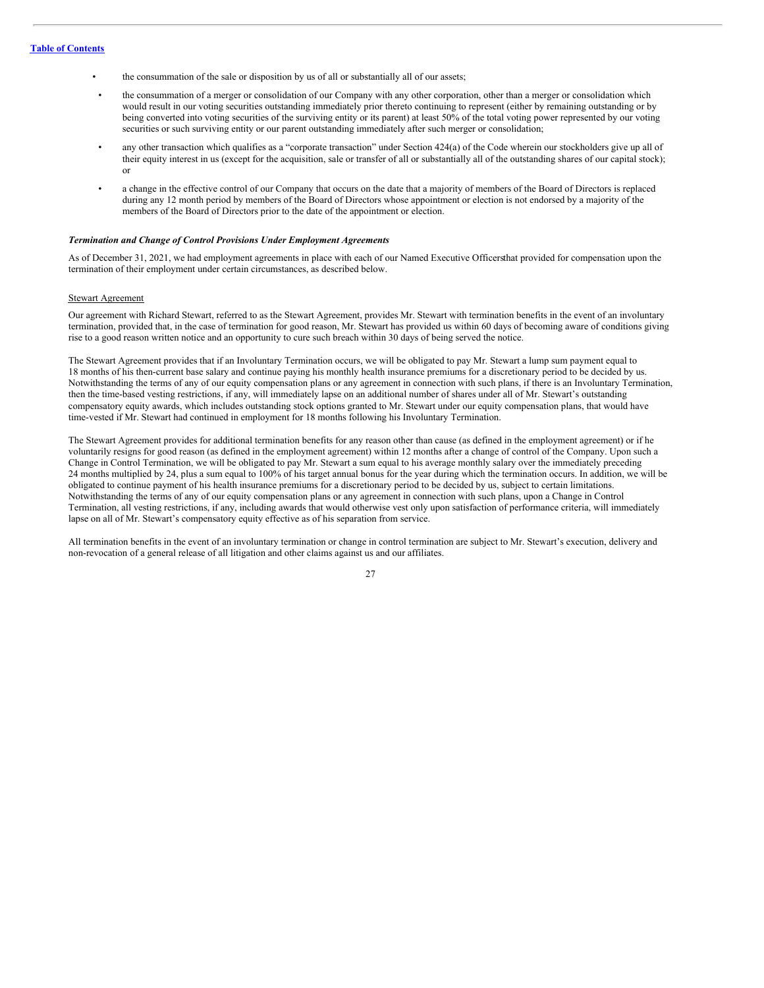- the consummation of the sale or disposition by us of all or substantially all of our assets;
- the consummation of a merger or consolidation of our Company with any other corporation, other than a merger or consolidation which would result in our voting securities outstanding immediately prior thereto continuing to represent (either by remaining outstanding or by being converted into voting securities of the surviving entity or its parent) at least 50% of the total voting power represented by our voting securities or such surviving entity or our parent outstanding immediately after such merger or consolidation;
- any other transaction which qualifies as a "corporate transaction" under Section 424(a) of the Code wherein our stockholders give up all of their equity interest in us (except for the acquisition, sale or transfer of all or substantially all of the outstanding shares of our capital stock); or
- a change in the effective control of our Company that occurs on the date that a majority of members of the Board of Directors is replaced during any 12 month period by members of the Board of Directors whose appointment or election is not endorsed by a majority of the members of the Board of Directors prior to the date of the appointment or election.

### *Termination and Change of Control Provisions Under Employment Agreements*

As of December 31, 2021, we had employment agreements in place with each of our Named Executive Officersthat provided for compensation upon the termination of their employment under certain circumstances, as described below.

#### Stewart Agreement

Our agreement with Richard Stewart, referred to as the Stewart Agreement, provides Mr. Stewart with termination benefits in the event of an involuntary termination, provided that, in the case of termination for good reason, Mr. Stewart has provided us within 60 days of becoming aware of conditions giving rise to a good reason written notice and an opportunity to cure such breach within 30 days of being served the notice.

The Stewart Agreement provides that if an Involuntary Termination occurs, we will be obligated to pay Mr. Stewart a lump sum payment equal to 18 months of his then-current base salary and continue paying his monthly health insurance premiums for a discretionary period to be decided by us. Notwithstanding the terms of any of our equity compensation plans or any agreement in connection with such plans, if there is an Involuntary Termination, then the time-based vesting restrictions, if any, will immediately lapse on an additional number of shares under all of Mr. Stewart's outstanding compensatory equity awards, which includes outstanding stock options granted to Mr. Stewart under our equity compensation plans, that would have time-vested if Mr. Stewart had continued in employment for 18 months following his Involuntary Termination.

The Stewart Agreement provides for additional termination benefits for any reason other than cause (as defined in the employment agreement) or if he voluntarily resigns for good reason (as defined in the employment agreement) within 12 months after a change of control of the Company. Upon such a Change in Control Termination, we will be obligated to pay Mr. Stewart a sum equal to his average monthly salary over the immediately preceding 24 months multiplied by 24, plus a sum equal to 100% of his target annual bonus for the year during which the termination occurs. In addition, we will be obligated to continue payment of his health insurance premiums for a discretionary period to be decided by us, subject to certain limitations. Notwithstanding the terms of any of our equity compensation plans or any agreement in connection with such plans, upon a Change in Control Termination, all vesting restrictions, if any, including awards that would otherwise vest only upon satisfaction of performance criteria, will immediately lapse on all of Mr. Stewart's compensatory equity effective as of his separation from service.

All termination benefits in the event of an involuntary termination or change in control termination are subject to Mr. Stewart's execution, delivery and non-revocation of a general release of all litigation and other claims against us and our affiliates.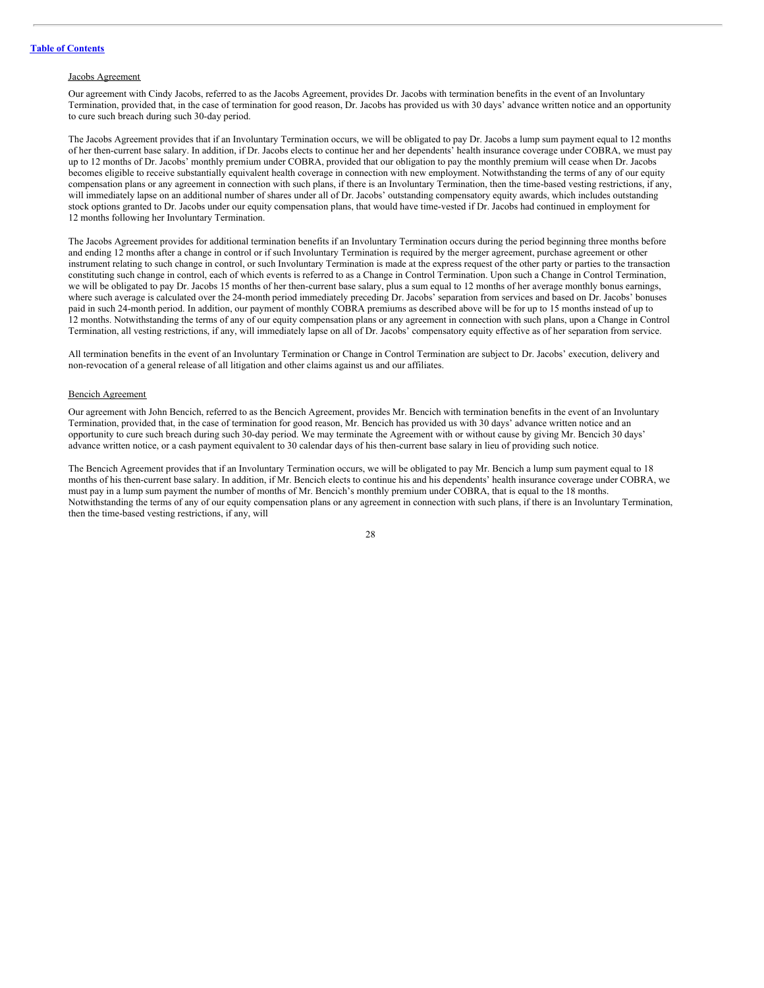#### Jacobs Agreement

Our agreement with Cindy Jacobs, referred to as the Jacobs Agreement, provides Dr. Jacobs with termination benefits in the event of an Involuntary Termination, provided that, in the case of termination for good reason, Dr. Jacobs has provided us with 30 days' advance written notice and an opportunity to cure such breach during such 30-day period.

The Jacobs Agreement provides that if an Involuntary Termination occurs, we will be obligated to pay Dr. Jacobs a lump sum payment equal to 12 months of her then-current base salary. In addition, if Dr. Jacobs elects to continue her and her dependents' health insurance coverage under COBRA, we must pay up to 12 months of Dr. Jacobs' monthly premium under COBRA, provided that our obligation to pay the monthly premium will cease when Dr. Jacobs becomes eligible to receive substantially equivalent health coverage in connection with new employment. Notwithstanding the terms of any of our equity compensation plans or any agreement in connection with such plans, if there is an Involuntary Termination, then the time-based vesting restrictions, if any, will immediately lapse on an additional number of shares under all of Dr. Jacobs' outstanding compensatory equity awards, which includes outstanding stock options granted to Dr. Jacobs under our equity compensation plans, that would have time-vested if Dr. Jacobs had continued in employment for 12 months following her Involuntary Termination.

The Jacobs Agreement provides for additional termination benefits if an Involuntary Termination occurs during the period beginning three months before and ending 12 months after a change in control or if such Involuntary Termination is required by the merger agreement, purchase agreement or other instrument relating to such change in control, or such Involuntary Termination is made at the express request of the other party or parties to the transaction constituting such change in control, each of which events is referred to as a Change in Control Termination. Upon such a Change in Control Termination, we will be obligated to pay Dr. Jacobs 15 months of her then-current base salary, plus a sum equal to 12 months of her average monthly bonus earnings, where such average is calculated over the 24-month period immediately preceding Dr. Jacobs' separation from services and based on Dr. Jacobs' bonuses paid in such 24-month period. In addition, our payment of monthly COBRA premiums as described above will be for up to 15 months instead of up to 12 months. Notwithstanding the terms of any of our equity compensation plans or any agreement in connection with such plans, upon a Change in Control Termination, all vesting restrictions, if any, will immediately lapse on all of Dr. Jacobs' compensatory equity effective as of her separation from service.

All termination benefits in the event of an Involuntary Termination or Change in Control Termination are subject to Dr. Jacobs' execution, delivery and non-revocation of a general release of all litigation and other claims against us and our affiliates.

#### Bencich Agreement

Our agreement with John Bencich, referred to as the Bencich Agreement, provides Mr. Bencich with termination benefits in the event of an Involuntary Termination, provided that, in the case of termination for good reason, Mr. Bencich has provided us with 30 days' advance written notice and an opportunity to cure such breach during such 30-day period. We may terminate the Agreement with or without cause by giving Mr. Bencich 30 days' advance written notice, or a cash payment equivalent to 30 calendar days of his then-current base salary in lieu of providing such notice.

The Bencich Agreement provides that if an Involuntary Termination occurs, we will be obligated to pay Mr. Bencich a lump sum payment equal to 18 months of his then-current base salary. In addition, if Mr. Bencich elects to continue his and his dependents' health insurance coverage under COBRA, we must pay in a lump sum payment the number of months of Mr. Bencich's monthly premium under COBRA, that is equal to the 18 months. Notwithstanding the terms of any of our equity compensation plans or any agreement in connection with such plans, if there is an Involuntary Termination, then the time-based vesting restrictions, if any, will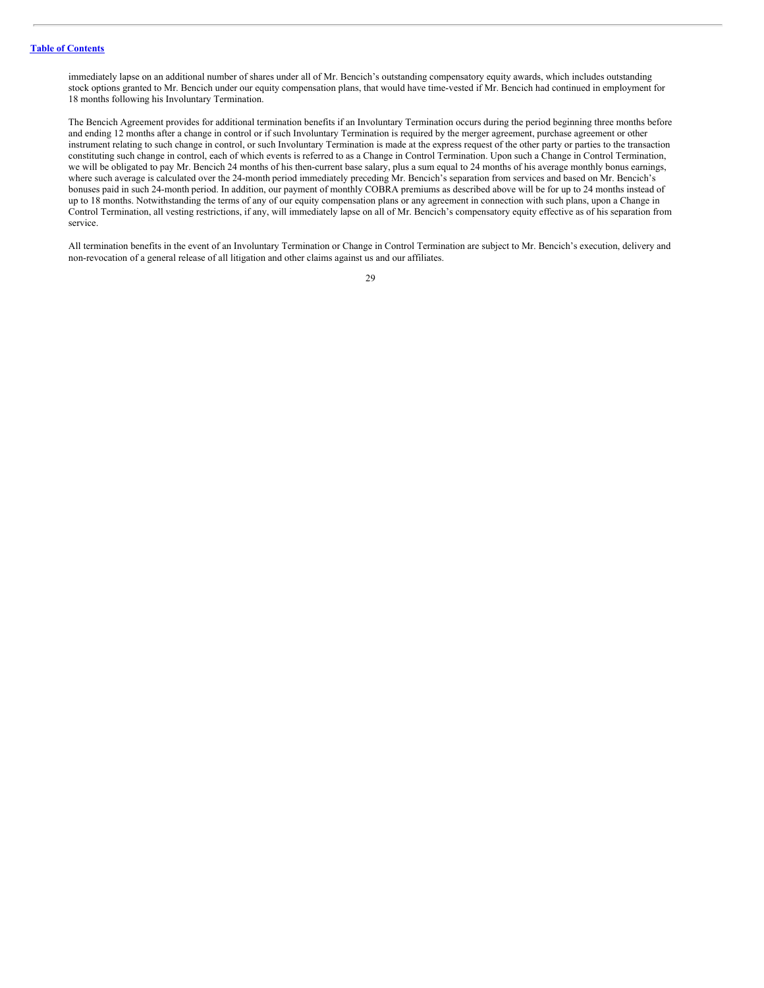immediately lapse on an additional number of shares under all of Mr. Bencich's outstanding compensatory equity awards, which includes outstanding stock options granted to Mr. Bencich under our equity compensation plans, that would have time-vested if Mr. Bencich had continued in employment for 18 months following his Involuntary Termination.

The Bencich Agreement provides for additional termination benefits if an Involuntary Termination occurs during the period beginning three months before and ending 12 months after a change in control or if such Involuntary Termination is required by the merger agreement, purchase agreement or other instrument relating to such change in control, or such Involuntary Termination is made at the express request of the other party or parties to the transaction constituting such change in control, each of which events is referred to as a Change in Control Termination. Upon such a Change in Control Termination, we will be obligated to pay Mr. Bencich 24 months of his then-current base salary, plus a sum equal to 24 months of his average monthly bonus earnings, where such average is calculated over the 24-month period immediately preceding Mr. Bencich's separation from services and based on Mr. Bencich's bonuses paid in such 24-month period. In addition, our payment of monthly COBRA premiums as described above will be for up to 24 months instead of up to 18 months. Notwithstanding the terms of any of our equity compensation plans or any agreement in connection with such plans, upon a Change in Control Termination, all vesting restrictions, if any, will immediately lapse on all of Mr. Bencich's compensatory equity effective as of his separation from service.

All termination benefits in the event of an Involuntary Termination or Change in Control Termination are subject to Mr. Bencich's execution, delivery and non-revocation of a general release of all litigation and other claims against us and our affiliates.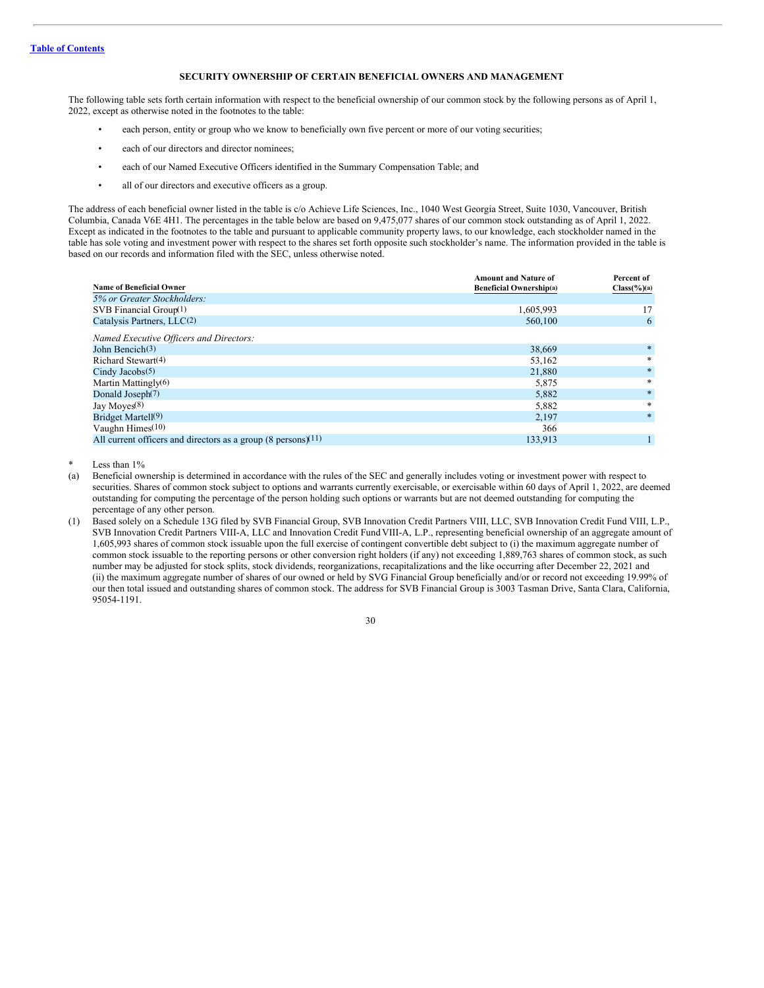# <span id="page-32-0"></span>**SECURITY OWNERSHIP OF CERTAIN BENEFICIAL OWNERS AND MANAGEMENT**

The following table sets forth certain information with respect to the beneficial ownership of our common stock by the following persons as of April 1, 2022, except as otherwise noted in the footnotes to the table:

- each person, entity or group who we know to beneficially own five percent or more of our voting securities;
- each of our directors and director nominees;
- each of our Named Executive Officers identified in the Summary Compensation Table; and
- all of our directors and executive officers as a group.

The address of each beneficial owner listed in the table is c/o Achieve Life Sciences, Inc., 1040 West Georgia Street, Suite 1030, Vancouver, British Columbia, Canada V6E 4H1. The percentages in the table below are based on 9,475,077 shares of our common stock outstanding as of April 1, 2022. Except as indicated in the footnotes to the table and pursuant to applicable community property laws, to our knowledge, each stockholder named in the table has sole voting and investment power with respect to the shares set forth opposite such stockholder's name. The information provided in the table is based on our records and information filed with the SEC, unless otherwise noted.

|                                                                         | <b>Amount and Nature of</b>    | Percent of              |
|-------------------------------------------------------------------------|--------------------------------|-------------------------|
| <b>Name of Beneficial Owner</b>                                         | <b>Beneficial Ownership(a)</b> | $Class(\frac{6}{6})(a)$ |
| 5% or Greater Stockholders:                                             |                                |                         |
| SVB Financial Group $(1)$                                               | 1,605,993                      | 17                      |
| Catalysis Partners, LLC(2)                                              | 560,100                        | 6                       |
| Named Executive Officers and Directors:                                 |                                |                         |
| John Bencich $(3)$                                                      | 38,669                         | $*$                     |
| Richard Stewart <sup>(4)</sup>                                          | 53,162                         | $\ast$                  |
| Cindy Jacobs $(5)$                                                      | 21,880                         | $*$                     |
| Martin Mattingly(6)                                                     | 5,875                          | $*$                     |
| Donald Joseph <sup>(7)</sup>                                            | 5,882                          | $*$                     |
| Jay Moyes $(8)$                                                         | 5,882                          | *                       |
| Bridget Martell(9)                                                      | 2,197                          | $*$                     |
| Vaughn Himes $(10)$                                                     | 366                            |                         |
| All current officers and directors as a group $(8 \text{ persons})(11)$ | 133.913                        |                         |

Less than  $1\%$ 

- (a) Beneficial ownership is determined in accordance with the rules of the SEC and generally includes voting or investment power with respect to securities. Shares of common stock subject to options and warrants currently exercisable, or exercisable within 60 days of April 1, 2022, are deemed outstanding for computing the percentage of the person holding such options or warrants but are not deemed outstanding for computing the percentage of any other person.
- (1) Based solely on a Schedule 13G filed by SVB Financial Group, SVB Innovation Credit Partners VIII, LLC, SVB Innovation Credit Fund VIII, L.P., SVB Innovation Credit Partners VIII-A, LLC and Innovation Credit Fund VIII-A, L.P., representing beneficial ownership of an aggregate amount of 1,605,993 shares of common stock issuable upon the full exercise of contingent convertible debt subject to (i) the maximum aggregate number of common stock issuable to the reporting persons or other conversion right holders (if any) not exceeding 1,889,763 shares of common stock, as such number may be adjusted for stock splits, stock dividends, reorganizations, recapitalizations and the like occurring after December 22, 2021 and (ii) the maximum aggregate number of shares of our owned or held by SVG Financial Group beneficially and/or or record not exceeding 19.99% of our then total issued and outstanding shares of common stock. The address for SVB Financial Group is 3003 Tasman Drive, Santa Clara, California, 95054-1191.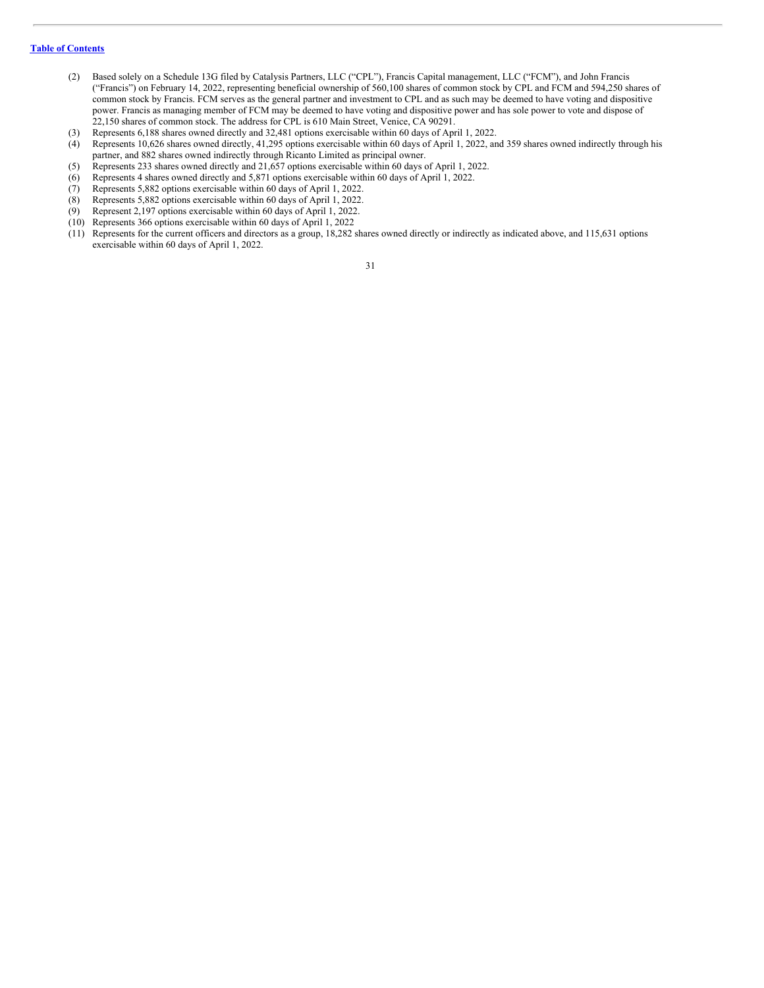- (2) Based solely on a Schedule 13G filed by Catalysis Partners, LLC ("CPL"), Francis Capital management, LLC ("FCM"), and John Francis ("Francis") on February 14, 2022, representing beneficial ownership of 560,100 shares of common stock by CPL and FCM and 594,250 shares of common stock by Francis. FCM serves as the general partner and investment to CPL and as such may be deemed to have voting and dispositive power. Francis as managing member of FCM may be deemed to have voting and dispositive power and has sole power to vote and dispose of 22,150 shares of common stock. The address for CPL is 610 Main Street, Venice, CA 90291.
- (3) Represents 6,188 shares owned directly and 32,481 options exercisable within 60 days of April 1, 2022.
- (4) Represents 10,626 shares owned directly, 41,295 options exercisable within 60 days of April 1, 2022, and 359 shares owned indirectly through his partner, and 882 shares owned indirectly through Ricanto Limited as principal owner.
- (5) Represents 233 shares owned directly and 21,657 options exercisable within 60 days of April 1, 2022.
- (6) Represents 4 shares owned directly and 5,871 options exercisable within 60 days of April 1, 2022.
- (7) Represents 5,882 options exercisable within 60 days of April 1, 2022.
- (8) Represents 5,882 options exercisable within 60 days of April 1, 2022.
- Represent 2,197 options exercisable within 60 days of April 1, 2022.
- (10) Represents 366 options exercisable within 60 days of April 1, 2022
- (11) Represents for the current officers and directors as a group, 18,282 shares owned directly or indirectly as indicated above, and 115,631 options exercisable within 60 days of April 1, 2022.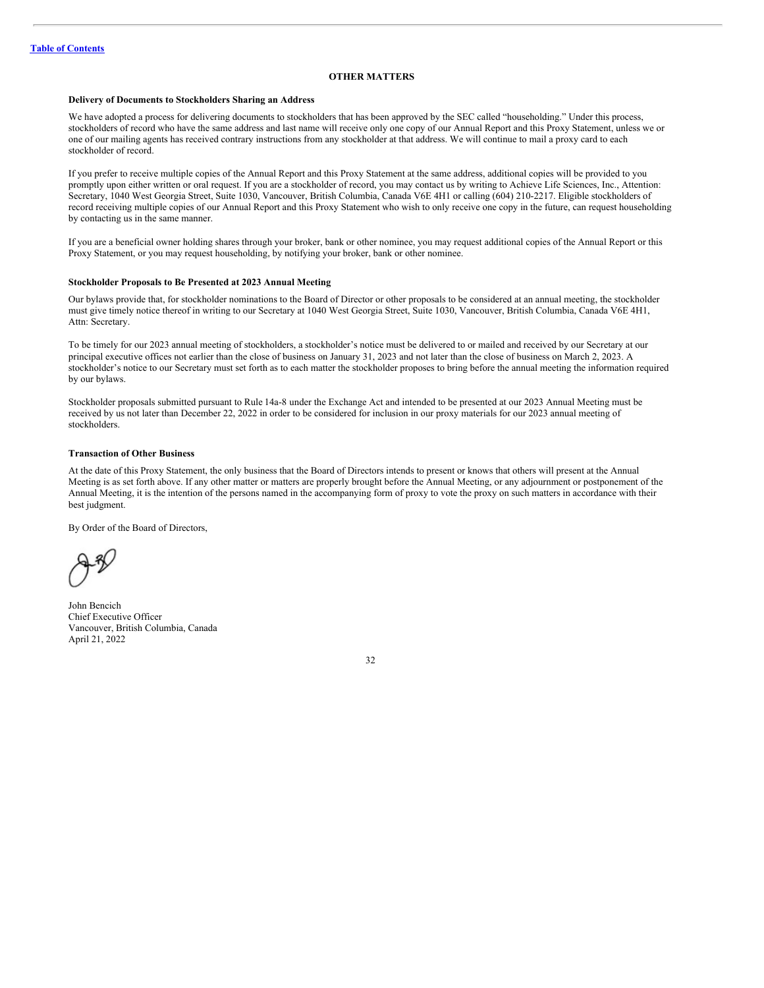# <span id="page-34-0"></span>**OTHER MATTERS**

#### **Delivery of Documents to Stockholders Sharing an Address**

We have adopted a process for delivering documents to stockholders that has been approved by the SEC called "householding." Under this process, stockholders of record who have the same address and last name will receive only one copy of our Annual Report and this Proxy Statement, unless we or one of our mailing agents has received contrary instructions from any stockholder at that address. We will continue to mail a proxy card to each stockholder of record.

If you prefer to receive multiple copies of the Annual Report and this Proxy Statement at the same address, additional copies will be provided to you promptly upon either written or oral request. If you are a stockholder of record, you may contact us by writing to Achieve Life Sciences, Inc., Attention: Secretary, 1040 West Georgia Street, Suite 1030, Vancouver, British Columbia, Canada V6E 4H1 or calling (604) 210-2217. Eligible stockholders of record receiving multiple copies of our Annual Report and this Proxy Statement who wish to only receive one copy in the future, can request householding by contacting us in the same manner.

If you are a beneficial owner holding shares through your broker, bank or other nominee, you may request additional copies of the Annual Report or this Proxy Statement, or you may request householding, by notifying your broker, bank or other nominee.

#### **Stockholder Proposals to Be Presented at 2023 Annual Meeting**

Our bylaws provide that, for stockholder nominations to the Board of Director or other proposals to be considered at an annual meeting, the stockholder must give timely notice thereof in writing to our Secretary at 1040 West Georgia Street, Suite 1030, Vancouver, British Columbia, Canada V6E 4H1, Attn: Secretary.

To be timely for our 2023 annual meeting of stockholders, a stockholder's notice must be delivered to or mailed and received by our Secretary at our principal executive offices not earlier than the close of business on January 31, 2023 and not later than the close of business on March 2, 2023. A stockholder's notice to our Secretary must set forth as to each matter the stockholder proposes to bring before the annual meeting the information required by our bylaws.

Stockholder proposals submitted pursuant to Rule 14a-8 under the Exchange Act and intended to be presented at our 2023 Annual Meeting must be received by us not later than December 22, 2022 in order to be considered for inclusion in our proxy materials for our 2023 annual meeting of stockholders.

### **Transaction of Other Business**

At the date of this Proxy Statement, the only business that the Board of Directors intends to present or knows that others will present at the Annual Meeting is as set forth above. If any other matter or matters are properly brought before the Annual Meeting, or any adjournment or postponement of the Annual Meeting, it is the intention of the persons named in the accompanying form of proxy to vote the proxy on such matters in accordance with their best judgment.

By Order of the Board of Directors,

John Bencich Chief Executive Officer Vancouver, British Columbia, Canada April 21, 2022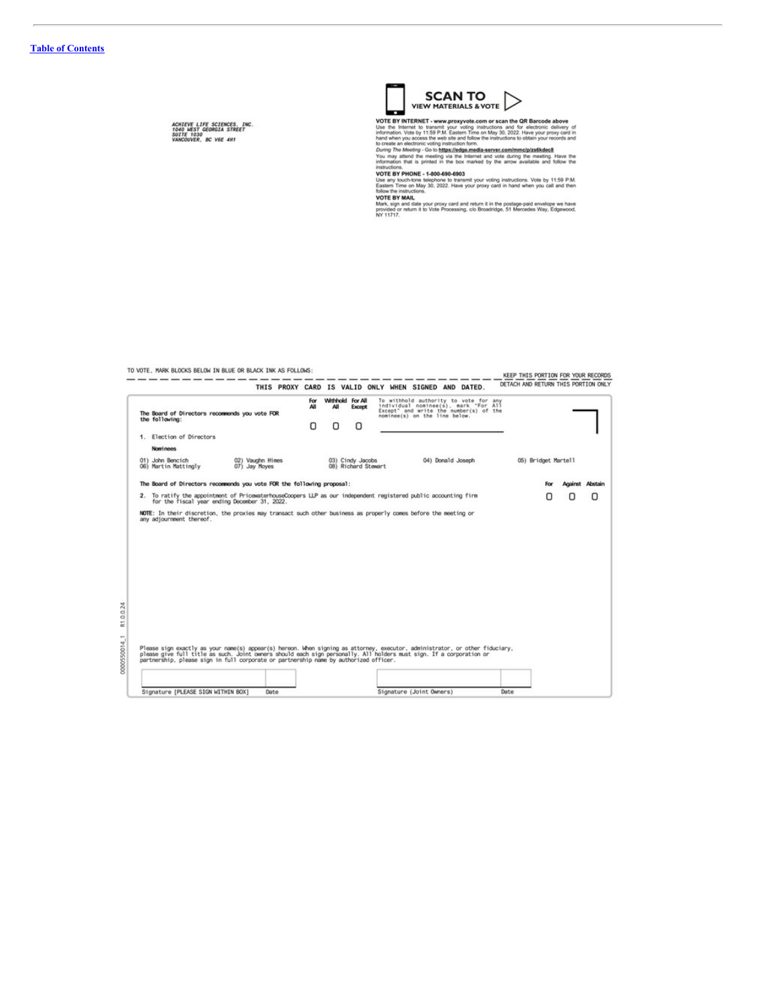ACHIEVE LIFE SCIENCES, INC.<br>1040 WEST GEORGIA STREET<br>SUITE 1030<br>VANCOUVER, BC V6E 4H1



VIEW PIATERIALS & VOTE<br>
USE IN INTERNALS & VOTE<br>
USE TO EXECUTE IN WARD CONTROL TO THE SUBSECTION OF THE SUBSECTION OF THE SUBSECTION OF THE SUBSECTION INTERNALS IN INTERNALS IN THE SUBSECTION OF THE SUBSECTION OF THE SUBS

intermation that is printed in the box manked by the arrow available and follow the instructions.<br>
Instructions and poor and the state of the state of the state of the state of the state of the SW PHONE - 1-800-690-6903<br>
U

# TO VOTE, MARK BLOCKS BELOW IN BLUE OR BLACK INK AS FOLLOWS:

|                                                                                                                                                                                                                                                                                                                           |                                               |                                   |                  |          | THIS PROXY CARD IS VALID ONLY WHEN SIGNED AND DATED. |                                                                                                                                                          |                   |  |                     | DETACH AND RETURN THIS PORTION ONLY |   |
|---------------------------------------------------------------------------------------------------------------------------------------------------------------------------------------------------------------------------------------------------------------------------------------------------------------------------|-----------------------------------------------|-----------------------------------|------------------|----------|------------------------------------------------------|----------------------------------------------------------------------------------------------------------------------------------------------------------|-------------------|--|---------------------|-------------------------------------|---|
| The Board of Directors recommends you vote FOR<br>the following:                                                                                                                                                                                                                                                          |                                               |                                   | For.<br>All<br>ο | All<br>ο | Withhold For All<br>Except<br>ο                      | To withhold authority to vote for any<br>individual nominee(s), mark "For All<br>Except" and write the number(s) of the<br>nominee(s) on the line below. |                   |  |                     |                                     |   |
| 1. Election of Directors                                                                                                                                                                                                                                                                                                  |                                               |                                   |                  |          |                                                      |                                                                                                                                                          |                   |  |                     |                                     |   |
| <b>Nominees</b>                                                                                                                                                                                                                                                                                                           |                                               |                                   |                  |          |                                                      |                                                                                                                                                          |                   |  |                     |                                     |   |
| 01) John Bencich<br>06) Martin Mattingly                                                                                                                                                                                                                                                                                  |                                               | 02) Vaughn Himes<br>07) Jay Moyes |                  |          | 03) Cindy Jacobs<br>08) Richard Stewart              |                                                                                                                                                          | 04) Donald Joseph |  | 05) Bridget Martell |                                     |   |
| The Board of Directors recommends you vote FOR the following proposal:                                                                                                                                                                                                                                                    |                                               |                                   |                  |          |                                                      |                                                                                                                                                          |                   |  | For                 | <b>Against Abstain</b>              |   |
| 2. To ratify the appointment of PricewaterhouseCoopers LLP as our independent registered public accounting firm                                                                                                                                                                                                           | for the fiscal year ending December 31, 2022. |                                   |                  |          |                                                      |                                                                                                                                                          |                   |  |                     | 0                                   | 0 |
|                                                                                                                                                                                                                                                                                                                           |                                               |                                   |                  |          |                                                      |                                                                                                                                                          |                   |  |                     |                                     |   |
|                                                                                                                                                                                                                                                                                                                           |                                               |                                   |                  |          |                                                      |                                                                                                                                                          |                   |  |                     |                                     |   |
| Please sign exactly as your name(s) appear(s) hereon. When signing as attorney, executor, administrator, or other fiduciary,<br>please give full title as such. Joint owners should each sign personally. All holders must sign.<br>partnership, please sign in full corporate or partnership name by authorized officer. |                                               |                                   |                  |          |                                                      |                                                                                                                                                          |                   |  |                     |                                     |   |